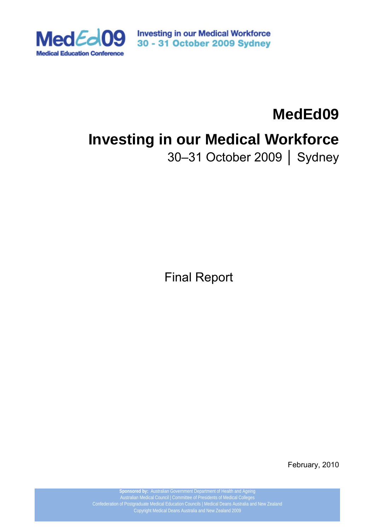

**Investing in our Medical Workforce** 30 - 31 October 2009 Sydney

# **MedEd09 Investing in our Medical Workforce**

30–31 October 2009 │ Sydney

Final Report

February, 2010

**Sponsored by:** Australian Government Department of Health and Ageing Australian Medical Council | Committee of Presidents of Medical Colleges Copyright Medical Deans Australia and New Zealand 2009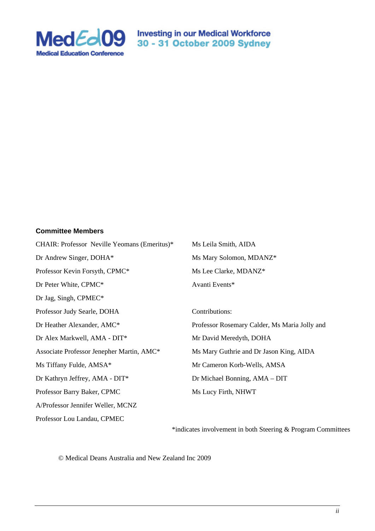

MedEd09 Sport State of Nedical Workforce

#### **Committee Members**

| CHAIR: Professor Neville Yeomans (Emeritus)* | Ms Leila Smith, AIDA                          |
|----------------------------------------------|-----------------------------------------------|
| Dr Andrew Singer, DOHA*                      | Ms Mary Solomon, MDANZ*                       |
| Professor Kevin Forsyth, CPMC*               | Ms Lee Clarke, MDANZ*                         |
| Dr Peter White, CPMC*                        | Avanti Events*                                |
| Dr Jag, Singh, CPMEC*                        |                                               |
| Professor Judy Searle, DOHA                  | Contributions:                                |
| Dr Heather Alexander, AMC*                   | Professor Rosemary Calder, Ms Maria Jolly and |
| Dr Alex Markwell, AMA - DIT*                 | Mr David Meredyth, DOHA                       |
| Associate Professor Jenepher Martin, AMC*    | Ms Mary Guthrie and Dr Jason King, AIDA       |
| Ms Tiffany Fulde, AMSA*                      | Mr Cameron Korb-Wells, AMSA                   |
| Dr Kathryn Jeffrey, AMA - DIT*               | Dr Michael Bonning, AMA - DIT                 |
| Professor Barry Baker, CPMC                  | Ms Lucy Firth, NHWT                           |
| A/Professor Jennifer Weller, MCNZ            |                                               |
| Professor Lou Landau, CPMEC                  |                                               |

\*indicates involvement in both Steering & Program Committees

© Medical Deans Australia and New Zealand Inc 2009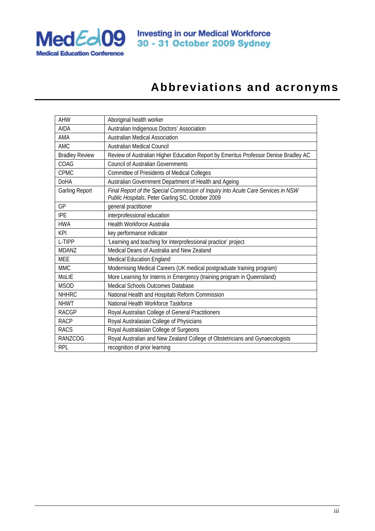

# **Abbreviations and acronyms**

| <b>AHW</b>            | Aboriginal health worker                                                                                                              |
|-----------------------|---------------------------------------------------------------------------------------------------------------------------------------|
| <b>AIDA</b>           | Australian Indigenous Doctors' Association                                                                                            |
| AMA                   | <b>Australian Medical Association</b>                                                                                                 |
| <b>AMC</b>            | Australian Medical Council                                                                                                            |
| <b>Bradley Review</b> | Review of Australian Higher Education Report by Emeritus Professor Denise Bradley AC                                                  |
| COAG                  | <b>Council of Australian Governments</b>                                                                                              |
| <b>CPMC</b>           | <b>Committee of Presidents of Medical Colleges</b>                                                                                    |
| <b>DoHA</b>           | Australian Government Department of Health and Ageing                                                                                 |
| <b>Garling Report</b> | Final Report of the Special Commission of Inquiry into Acute Care Services in NSW<br>Public Hospitals, Peter Garling SC, October 2009 |
| GP                    | general practitioner                                                                                                                  |
| <b>IPE</b>            | interprofessional education                                                                                                           |
| <b>HWA</b>            | <b>Health Workforce Australia</b>                                                                                                     |
| <b>KPI</b>            | key performance indicator                                                                                                             |
| L-TIPP                | 'Learning and teaching for interprofessional practice' project                                                                        |
| <b>MDANZ</b>          | Medical Deans of Australia and New Zealand                                                                                            |
| <b>MEE</b>            | Medical Education England                                                                                                             |
| <b>MMC</b>            | Modernising Medical Careers (UK medical postgraduate training program)                                                                |
| Mol IF                | More Learning for Interns in Emergency (training program in Queensland)                                                               |
| <b>MSOD</b>           | Medical Schools Outcomes Database                                                                                                     |
| <b>NHHRC</b>          | National Health and Hospitals Reform Commission                                                                                       |
| <b>NHWT</b>           | National Health Workforce Taskforce                                                                                                   |
| <b>RACGP</b>          | Royal Australian College of General Practitioners                                                                                     |
| <b>RACP</b>           | Royal Australasian College of Physicians                                                                                              |
| <b>RACS</b>           | Royal Australasian College of Surgeons                                                                                                |
| <b>RANZCOG</b>        | Royal Australian and New Zealand College of Obstetricians and Gynaecologists                                                          |
| <b>RPL</b>            | recognition of prior learning                                                                                                         |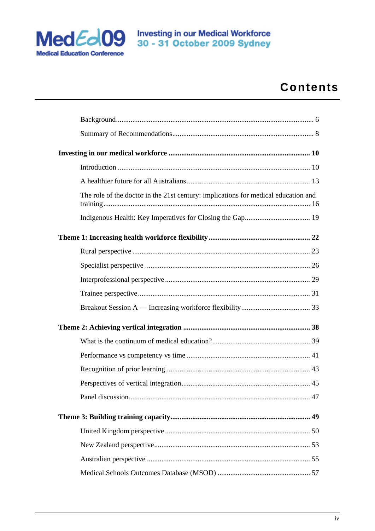

# **Contents**

| The role of the doctor in the 21st century: implications for medical education and |  |
|------------------------------------------------------------------------------------|--|
|                                                                                    |  |
|                                                                                    |  |
|                                                                                    |  |
|                                                                                    |  |
|                                                                                    |  |
|                                                                                    |  |
|                                                                                    |  |
|                                                                                    |  |
|                                                                                    |  |
|                                                                                    |  |
|                                                                                    |  |
|                                                                                    |  |
|                                                                                    |  |
|                                                                                    |  |
|                                                                                    |  |
|                                                                                    |  |
|                                                                                    |  |
|                                                                                    |  |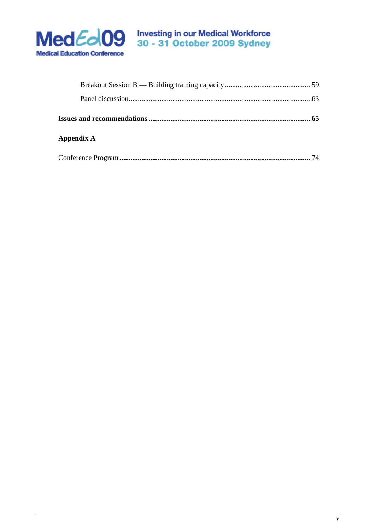

# MedEd09 So - 31 October 2009 Sydney

| Appendix A |    |
|------------|----|
|            | 74 |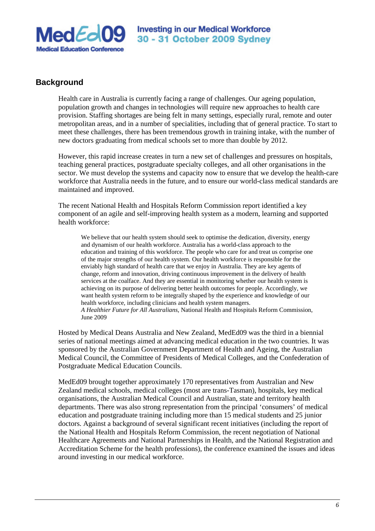

# **Background**

Health care in Australia is currently facing a range of challenges. Our ageing population, population growth and changes in technologies will require new approaches to health care provision. Staffing shortages are being felt in many settings, especially rural, remote and outer metropolitan areas, and in a number of specialities, including that of general practice. To start to meet these challenges, there has been tremendous growth in training intake, with the number of new doctors graduating from medical schools set to more than double by 2012.

However, this rapid increase creates in turn a new set of challenges and pressures on hospitals, teaching general practices, postgraduate specialty colleges, and all other organisations in the sector. We must develop the systems and capacity now to ensure that we develop the health-care workforce that Australia needs in the future, and to ensure our world-class medical standards are maintained and improved.

The recent National Health and Hospitals Reform Commission report identified a key component of an agile and self-improving health system as a modern, learning and supported health workforce:

We believe that our health system should seek to optimise the dedication, diversity, energy and dynamism of our health workforce. Australia has a world-class approach to the education and training of this workforce. The people who care for and treat us comprise one of the major strengths of our health system. Our health workforce is responsible for the enviably high standard of health care that we enjoy in Australia. They are key agents of change, reform and innovation, driving continuous improvement in the delivery of health services at the coalface. And they are essential in monitoring whether our health system is achieving on its purpose of delivering better health outcomes for people. Accordingly, we want health system reform to be integrally shaped by the experience and knowledge of our health workforce, including clinicians and health system managers. *A Healthier Future for All Australians,* National Health and Hospitals Reform Commission, June 2009

Hosted by Medical Deans Australia and New Zealand, MedEd09 was the third in a biennial series of national meetings aimed at advancing medical education in the two countries. It was sponsored by the Australian Government Department of Health and Ageing, the Australian Medical Council, the Committee of Presidents of Medical Colleges, and the Confederation of Postgraduate Medical Education Councils.

MedEd09 brought together approximately 170 representatives from Australian and New Zealand medical schools, medical colleges (most are trans-Tasman), hospitals, key medical organisations, the Australian Medical Council and Australian, state and territory health departments. There was also strong representation from the principal 'consumers' of medical education and postgraduate training including more than 15 medical students and 25 junior doctors. Against a background of several significant recent initiatives (including the report of the National Health and Hospitals Reform Commission, the recent negotiation of National Healthcare Agreements and National Partnerships in Health, and the National Registration and Accreditation Scheme for the health professions), the conference examined the issues and ideas around investing in our medical workforce.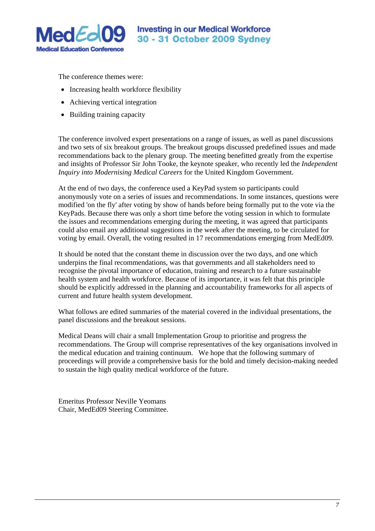

The conference themes were:

- Increasing health workforce flexibility
- Achieving vertical integration
- Building training capacity

The conference involved expert presentations on a range of issues, as well as panel discussions and two sets of six breakout groups. The breakout groups discussed predefined issues and made recommendations back to the plenary group. The meeting benefitted greatly from the expertise and insights of Professor Sir John Tooke, the keynote speaker, who recently led the *Independent Inquiry into Modernising Medical Careers* for the United Kingdom Government.

At the end of two days, the conference used a KeyPad system so participants could anonymously vote on a series of issues and recommendations. In some instances, questions were modified 'on the fly' after voting by show of hands before being formally put to the vote via the KeyPads. Because there was only a short time before the voting session in which to formulate the issues and recommendations emerging during the meeting, it was agreed that participants could also email any additional suggestions in the week after the meeting, to be circulated for voting by email. Overall, the voting resulted in 17 recommendations emerging from MedEd09.

It should be noted that the constant theme in discussion over the two days, and one which underpins the final recommendations, was that governments and all stakeholders need to recognise the pivotal importance of education, training and research to a future sustainable health system and health workforce. Because of its importance, it was felt that this principle should be explicitly addressed in the planning and accountability frameworks for all aspects of current and future health system development.

What follows are edited summaries of the material covered in the individual presentations, the panel discussions and the breakout sessions.

Medical Deans will chair a small Implementation Group to prioritise and progress the recommendations. The Group will comprise representatives of the key organisations involved in the medical education and training continuum. We hope that the following summary of proceedings will provide a comprehensive basis for the bold and timely decision-making needed to sustain the high quality medical workforce of the future.

Emeritus Professor Neville Yeomans Chair, MedEd09 Steering Committee.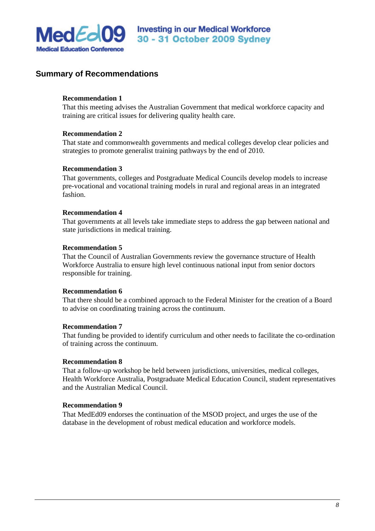

# **Summary of Recommendations**

# **Recommendation 1**

That this meeting advises the Australian Government that medical workforce capacity and training are critical issues for delivering quality health care.

## **Recommendation 2**

That state and commonwealth governments and medical colleges develop clear policies and strategies to promote generalist training pathways by the end of 2010.

### **Recommendation 3**

That governments, colleges and Postgraduate Medical Councils develop models to increase pre-vocational and vocational training models in rural and regional areas in an integrated fashion.

### **Recommendation 4**

That governments at all levels take immediate steps to address the gap between national and state jurisdictions in medical training.

### **Recommendation 5**

That the Council of Australian Governments review the governance structure of Health Workforce Australia to ensure high level continuous national input from senior doctors responsible for training.

# **Recommendation 6**

That there should be a combined approach to the Federal Minister for the creation of a Board to advise on coordinating training across the continuum.

#### **Recommendation 7**

That funding be provided to identify curriculum and other needs to facilitate the co-ordination of training across the continuum.

#### **Recommendation 8**

That a follow-up workshop be held between jurisdictions, universities, medical colleges, Health Workforce Australia, Postgraduate Medical Education Council, student representatives and the Australian Medical Council.

#### **Recommendation 9**

That MedEd09 endorses the continuation of the MSOD project, and urges the use of the database in the development of robust medical education and workforce models.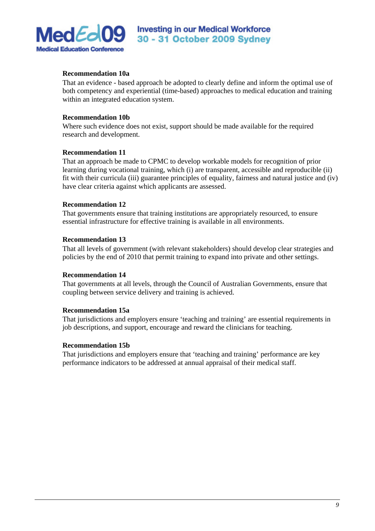

# **Recommendation 10a**

That an evidence - based approach be adopted to clearly define and inform the optimal use of both competency and experiential (time-based) approaches to medical education and training within an integrated education system.

# **Recommendation 10b**

Where such evidence does not exist, support should be made available for the required research and development.

# **Recommendation 11**

That an approach be made to CPMC to develop workable models for recognition of prior learning during vocational training, which (i) are transparent, accessible and reproducible (ii) fit with their curricula (iii) guarantee principles of equality, fairness and natural justice and (iv) have clear criteria against which applicants are assessed.

# **Recommendation 12**

That governments ensure that training institutions are appropriately resourced, to ensure essential infrastructure for effective training is available in all environments.

# **Recommendation 13**

That all levels of government (with relevant stakeholders) should develop clear strategies and policies by the end of 2010 that permit training to expand into private and other settings.

# **Recommendation 14**

That governments at all levels, through the Council of Australian Governments, ensure that coupling between service delivery and training is achieved.

# **Recommendation 15a**

That jurisdictions and employers ensure 'teaching and training' are essential requirements in job descriptions, and support, encourage and reward the clinicians for teaching.

#### **Recommendation 15b**

That jurisdictions and employers ensure that 'teaching and training' performance are key performance indicators to be addressed at annual appraisal of their medical staff.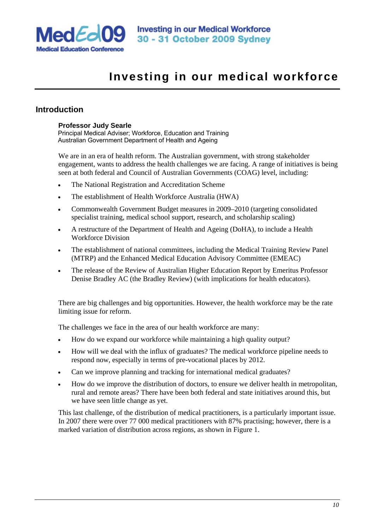

# **Investing in our medical workforce**

# **Introduction**

# **Professor Judy Searle**

Principal Medical Adviser; Workforce, Education and Training Australian Government Department of Health and Ageing

We are in an era of health reform. The Australian government, with strong stakeholder engagement, wants to address the health challenges we are facing. A range of initiatives is being seen at both federal and Council of Australian Governments (COAG) level, including:

- The National Registration and Accreditation Scheme
- The establishment of Health Workforce Australia (HWA)
- Commonwealth Government Budget measures in 2009–2010 (targeting consolidated specialist training, medical school support, research, and scholarship scaling)
- A restructure of the Department of Health and Ageing (DoHA), to include a Health Workforce Division
- The establishment of national committees, including the Medical Training Review Panel (MTRP) and the Enhanced Medical Education Advisory Committee (EMEAC)
- The release of the Review of Australian Higher Education Report by Emeritus Professor Denise Bradley AC (the Bradley Review) (with implications for health educators).

There are big challenges and big opportunities. However, the health workforce may be the rate limiting issue for reform.

The challenges we face in the area of our health workforce are many:

- How do we expand our workforce while maintaining a high quality output?
- How will we deal with the influx of graduates? The medical workforce pipeline needs to respond now, especially in terms of pre-vocational places by 2012.
- Can we improve planning and tracking for international medical graduates?
- How do we improve the distribution of doctors, to ensure we deliver health in metropolitan, rural and remote areas? There have been both federal and state initiatives around this, but we have seen little change as yet.

This last challenge, of the distribution of medical practitioners, is a particularly important issue. In 2007 there were over 77 000 medical practitioners with 87% practising; however, there is a marked variation of distribution across regions, as shown in Figure 1.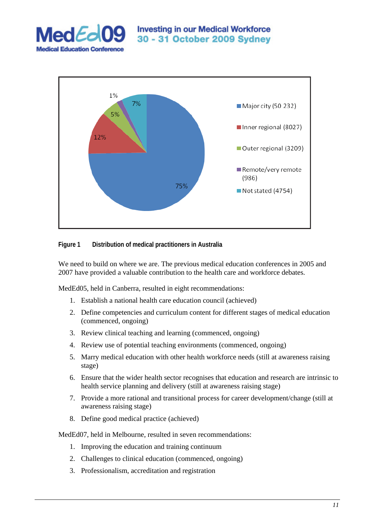



# **Figure 1 Distribution of medical practitioners in Australia**

We need to build on where we are. The previous medical education conferences in 2005 and 2007 have provided a valuable contribution to the health care and workforce debates.

MedEd05, held in Canberra, resulted in eight recommendations:

- 1. Establish a national health care education council (achieved)
- 2. Define competencies and curriculum content for different stages of medical education (commenced, ongoing)
- 3. Review clinical teaching and learning (commenced, ongoing)
- 4. Review use of potential teaching environments (commenced, ongoing)
- 5. Marry medical education with other health workforce needs (still at awareness raising stage)
- 6. Ensure that the wider health sector recognises that education and research are intrinsic to health service planning and delivery (still at awareness raising stage)
- 7. Provide a more rational and transitional process for career development/change (still at awareness raising stage)
- 8. Define good medical practice (achieved)

MedEd07, held in Melbourne, resulted in seven recommendations:

- 1. Improving the education and training continuum
- 2. Challenges to clinical education (commenced, ongoing)
- 3. Professionalism, accreditation and registration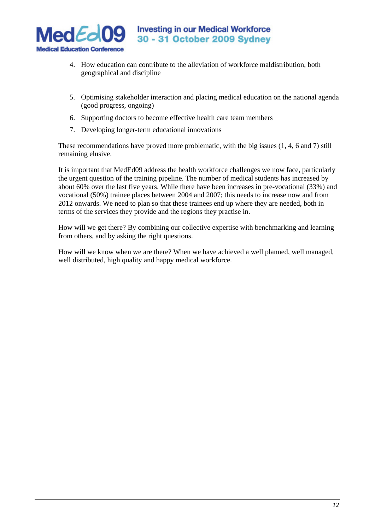

- 4. How education can contribute to the alleviation of workforce maldistribution, both geographical and discipline
- 5. Optimising stakeholder interaction and placing medical education on the national agenda (good progress, ongoing)
- 6. Supporting doctors to become effective health care team members
- 7. Developing longer-term educational innovations

These recommendations have proved more problematic, with the big issues (1, 4, 6 and 7) still remaining elusive.

It is important that MedEd09 address the health workforce challenges we now face, particularly the urgent question of the training pipeline. The number of medical students has increased by about 60% over the last five years. While there have been increases in pre-vocational (33%) and vocational (50%) trainee places between 2004 and 2007; this needs to increase now and from 2012 onwards. We need to plan so that these trainees end up where they are needed, both in terms of the services they provide and the regions they practise in.

How will we get there? By combining our collective expertise with benchmarking and learning from others, and by asking the right questions.

How will we know when we are there? When we have achieved a well planned, well managed, well distributed, high quality and happy medical workforce.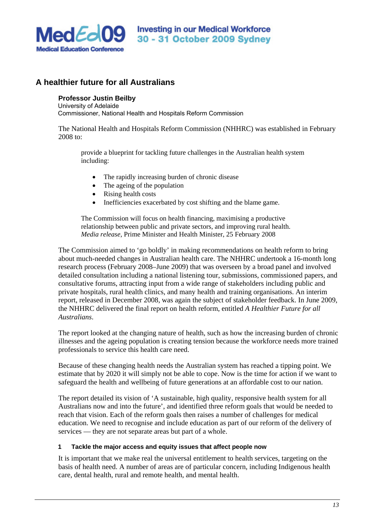

# **A healthier future for all Australians**

# **Professor Justin Beilby**

University of Adelaide Commissioner, National Health and Hospitals Reform Commission

The National Health and Hospitals Reform Commission (NHHRC) was established in February 2008 to:

provide a blueprint for tackling future challenges in the Australian health system including:

- The rapidly increasing burden of chronic disease
- The ageing of the population
- Rising health costs
- Inefficiencies exacerbated by cost shifting and the blame game.

The Commission will focus on health financing, maximising a productive relationship between public and private sectors, and improving rural health. *Media release*, Prime Minister and Health Minister, 25 February 2008

The Commission aimed to 'go boldly' in making recommendations on health reform to bring about much-needed changes in Australian health care. The NHHRC undertook a 16-month long research process (February 2008–June 2009) that was overseen by a broad panel and involved detailed consultation including a national listening tour, submissions, commissioned papers, and consultative forums, attracting input from a wide range of stakeholders including public and private hospitals, rural health clinics, and many health and training organisations. An interim report, released in December 2008, was again the subject of stakeholder feedback. In June 2009, the NHHRC delivered the final report on health reform, entitled *A Healthier Future for all Australians*.

The report looked at the changing nature of health, such as how the increasing burden of chronic illnesses and the ageing population is creating tension because the workforce needs more trained professionals to service this health care need.

Because of these changing health needs the Australian system has reached a tipping point. We estimate that by 2020 it will simply not be able to cope. Now is the time for action if we want to safeguard the health and wellbeing of future generations at an affordable cost to our nation.

The report detailed its vision of 'A sustainable, high quality, responsive health system for all Australians now and into the future', and identified three reform goals that would be needed to reach that vision. Each of the reform goals then raises a number of challenges for medical education. We need to recognise and include education as part of our reform of the delivery of services — they are not separate areas but part of a whole.

# **1 Tackle the major access and equity issues that affect people now**

It is important that we make real the universal entitlement to health services, targeting on the basis of health need. A number of areas are of particular concern, including Indigenous health care, dental health, rural and remote health, and mental health.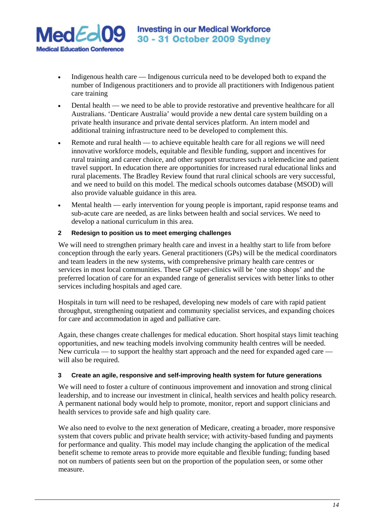

- Indigenous health care Indigenous curricula need to be developed both to expand the number of Indigenous practitioners and to provide all practitioners with Indigenous patient care training
- Dental health we need to be able to provide restorative and preventive healthcare for all Australians. 'Denticare Australia' would provide a new dental care system building on a private health insurance and private dental services platform. An intern model and additional training infrastructure need to be developed to complement this.
- Remote and rural health to achieve equitable health care for all regions we will need innovative workforce models, equitable and flexible funding, support and incentives for rural training and career choice, and other support structures such a telemedicine and patient travel support. In education there are opportunities for increased rural educational links and rural placements. The Bradley Review found that rural clinical schools are very successful, and we need to build on this model. The medical schools outcomes database (MSOD) will also provide valuable guidance in this area.
- Mental health early intervention for young people is important, rapid response teams and sub-acute care are needed, as are links between health and social services. We need to develop a national curriculum in this area.

# **2 Redesign to position us to meet emerging challenges**

We will need to strengthen primary health care and invest in a healthy start to life from before conception through the early years. General practitioners (GPs) will be the medical coordinators and team leaders in the new systems, with comprehensive primary health care centres or services in most local communities. These GP super-clinics will be 'one stop shops' and the preferred location of care for an expanded range of generalist services with better links to other services including hospitals and aged care.

Hospitals in turn will need to be reshaped, developing new models of care with rapid patient throughput, strengthening outpatient and community specialist services, and expanding choices for care and accommodation in aged and palliative care.

Again, these changes create challenges for medical education. Short hospital stays limit teaching opportunities, and new teaching models involving community health centres will be needed. New curricula — to support the healthy start approach and the need for expanded aged care will also be required.

# **3 Create an agile, responsive and self-improving health system for future generations**

We will need to foster a culture of continuous improvement and innovation and strong clinical leadership, and to increase our investment in clinical, health services and health policy research. A permanent national body would help to promote, monitor, report and support clinicians and health services to provide safe and high quality care.

We also need to evolve to the next generation of Medicare, creating a broader, more responsive system that covers public and private health service; with activity-based funding and payments for performance and quality. This model may include changing the application of the medical benefit scheme to remote areas to provide more equitable and flexible funding; funding based not on numbers of patients seen but on the proportion of the population seen, or some other measure.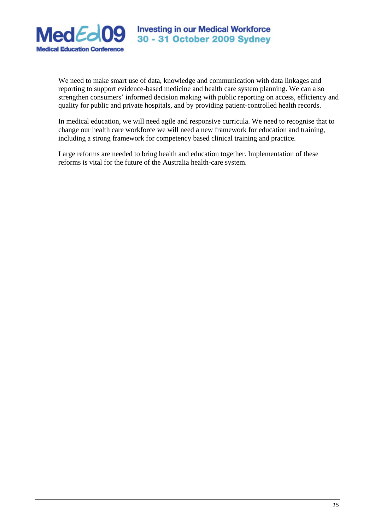

We need to make smart use of data, knowledge and communication with data linkages and reporting to support evidence-based medicine and health care system planning. We can also strengthen consumers' informed decision making with public reporting on access, efficiency and quality for public and private hospitals, and by providing patient-controlled health records.

In medical education, we will need agile and responsive curricula. We need to recognise that to change our health care workforce we will need a new framework for education and training, including a strong framework for competency based clinical training and practice.

Large reforms are needed to bring health and education together. Implementation of these reforms is vital for the future of the Australia health-care system.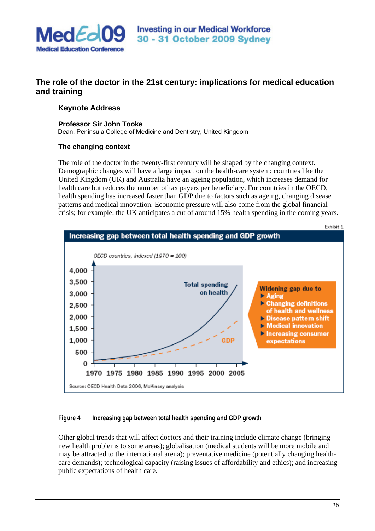

# **The role of the doctor in the 21st century: implications for medical education and training**

# **Keynote Address**

#### **Professor Sir John Tooke**

Dean, Peninsula College of Medicine and Dentistry, United Kingdom

# **The changing context**

The role of the doctor in the twenty-first century will be shaped by the changing context. Demographic changes will have a large impact on the health-care system: countries like the United Kingdom (UK) and Australia have an ageing population, which increases demand for health care but reduces the number of tax payers per beneficiary. For countries in the OECD, health spending has increased faster than GDP due to factors such as ageing, changing disease patterns and medical innovation. Economic pressure will also come from the global financial crisis; for example, the UK anticipates a cut of around 15% health spending in the coming years.



# **Figure 4 Increasing gap between total health spending and GDP growth**

Other global trends that will affect doctors and their training include climate change (bringing new health problems to some areas); globalisation (medical students will be more mobile and may be attracted to the international arena); preventative medicine (potentially changing healthcare demands); technological capacity (raising issues of affordability and ethics); and increasing public expectations of health care.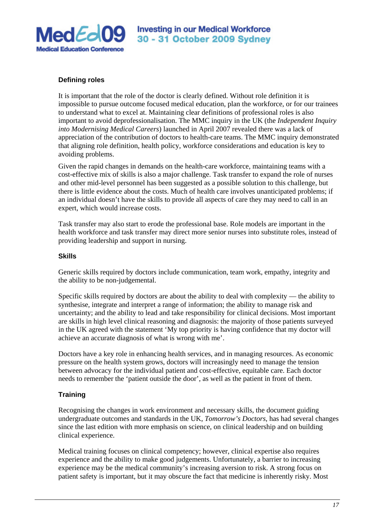

# **Defining roles**

It is important that the role of the doctor is clearly defined. Without role definition it is impossible to pursue outcome focused medical education, plan the workforce, or for our trainees to understand what to excel at. Maintaining clear definitions of professional roles is also important to avoid deprofessionalisation. The MMC inquiry in the UK (the *Independent Inquiry into Modernising Medical Careers*) launched in April 2007 revealed there was a lack of appreciation of the contribution of doctors to health-care teams. The MMC inquiry demonstrated that aligning role definition, health policy, workforce considerations and education is key to avoiding problems.

Given the rapid changes in demands on the health-care workforce, maintaining teams with a cost-effective mix of skills is also a major challenge. Task transfer to expand the role of nurses and other mid-level personnel has been suggested as a possible solution to this challenge, but there is little evidence about the costs. Much of health care involves unanticipated problems; if an individual doesn't have the skills to provide all aspects of care they may need to call in an expert, which would increase costs.

Task transfer may also start to erode the professional base. Role models are important in the health workforce and task transfer may direct more senior nurses into substitute roles, instead of providing leadership and support in nursing.

### **Skills**

Generic skills required by doctors include communication, team work, empathy, integrity and the ability to be non-judgemental.

Specific skills required by doctors are about the ability to deal with complexity — the ability to synthesise, integrate and interpret a range of information; the ability to manage risk and uncertainty; and the ability to lead and take responsibility for clinical decisions. Most important are skills in high level clinical reasoning and diagnosis: the majority of those patients surveyed in the UK agreed with the statement 'My top priority is having confidence that my doctor will achieve an accurate diagnosis of what is wrong with me'.

Doctors have a key role in enhancing health services, and in managing resources. As economic pressure on the health system grows, doctors will increasingly need to manage the tension between advocacy for the individual patient and cost-effective, equitable care. Each doctor needs to remember the 'patient outside the door', as well as the patient in front of them.

# **Training**

Recognising the changes in work environment and necessary skills, the document guiding undergraduate outcomes and standards in the UK, *Tomorrow's Doctors*, has had several changes since the last edition with more emphasis on science, on clinical leadership and on building clinical experience.

Medical training focuses on clinical competency; however, clinical expertise also requires experience and the ability to make good judgements. Unfortunately, a barrier to increasing experience may be the medical community's increasing aversion to risk. A strong focus on patient safety is important, but it may obscure the fact that medicine is inherently risky. Most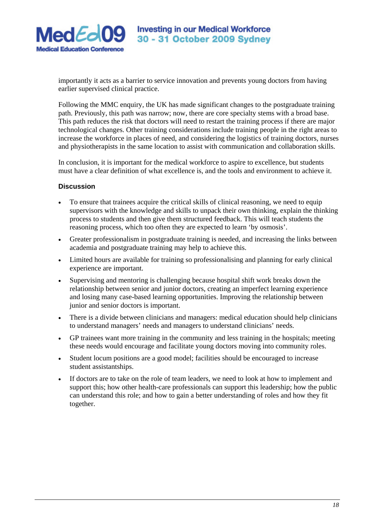

importantly it acts as a barrier to service innovation and prevents young doctors from having earlier supervised clinical practice.

Following the MMC enquiry, the UK has made significant changes to the postgraduate training path. Previously, this path was narrow; now, there are core specialty stems with a broad base. This path reduces the risk that doctors will need to restart the training process if there are major technological changes. Other training considerations include training people in the right areas to increase the workforce in places of need, and considering the logistics of training doctors, nurses and physiotherapists in the same location to assist with communication and collaboration skills.

In conclusion, it is important for the medical workforce to aspire to excellence, but students must have a clear definition of what excellence is, and the tools and environment to achieve it.

# **Discussion**

- To ensure that trainees acquire the critical skills of clinical reasoning, we need to equip supervisors with the knowledge and skills to unpack their own thinking, explain the thinking process to students and then give them structured feedback. This will teach students the reasoning process, which too often they are expected to learn 'by osmosis'.
- Greater professionalism in postgraduate training is needed, and increasing the links between academia and postgraduate training may help to achieve this.
- Limited hours are available for training so professionalising and planning for early clinical experience are important.
- Supervising and mentoring is challenging because hospital shift work breaks down the relationship between senior and junior doctors, creating an imperfect learning experience and losing many case-based learning opportunities. Improving the relationship between junior and senior doctors is important.
- There is a divide between clinicians and managers: medical education should help clinicians to understand managers' needs and managers to understand clinicians' needs.
- GP trainees want more training in the community and less training in the hospitals; meeting these needs would encourage and facilitate young doctors moving into community roles.
- Student locum positions are a good model; facilities should be encouraged to increase student assistantships.
- If doctors are to take on the role of team leaders, we need to look at how to implement and support this; how other health-care professionals can support this leadership; how the public can understand this role; and how to gain a better understanding of roles and how they fit together.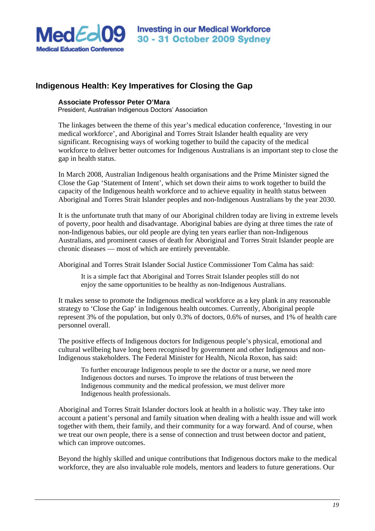

# **Indigenous Health: Key Imperatives for Closing the Gap**

## **Associate Professor Peter O'Mara**

President, Australian Indigenous Doctors' Association

The linkages between the theme of this year's medical education conference, 'Investing in our medical workforce', and Aboriginal and Torres Strait Islander health equality are very significant. Recognising ways of working together to build the capacity of the medical workforce to deliver better outcomes for Indigenous Australians is an important step to close the gap in health status.

In March 2008, Australian Indigenous health organisations and the Prime Minister signed the Close the Gap 'Statement of Intent', which set down their aims to work together to build the capacity of the Indigenous health workforce and to achieve equality in health status between Aboriginal and Torres Strait Islander peoples and non-Indigenous Australians by the year 2030.

It is the unfortunate truth that many of our Aboriginal children today are living in extreme levels of poverty, poor health and disadvantage. Aboriginal babies are dying at three times the rate of non-Indigenous babies, our old people are dying ten years earlier than non-Indigenous Australians, and prominent causes of death for Aboriginal and Torres Strait Islander people are chronic diseases — most of which are entirely preventable.

Aboriginal and Torres Strait Islander Social Justice Commissioner Tom Calma has said:

It is a simple fact that Aboriginal and Torres Strait Islander peoples still do not enjoy the same opportunities to be healthy as non-Indigenous Australians.

It makes sense to promote the Indigenous medical workforce as a key plank in any reasonable strategy to 'Close the Gap' in Indigenous health outcomes. Currently, Aboriginal people represent 3% of the population, but only 0.3% of doctors, 0.6% of nurses, and 1% of health care personnel overall.

The positive effects of Indigenous doctors for Indigenous people's physical, emotional and cultural wellbeing have long been recognised by government and other Indigenous and non-Indigenous stakeholders. The Federal Minister for Health, Nicola Roxon, has said:

To further encourage Indigenous people to see the doctor or a nurse, we need more Indigenous doctors and nurses. To improve the relations of trust between the Indigenous community and the medical profession, we must deliver more Indigenous health professionals.

Aboriginal and Torres Strait Islander doctors look at health in a holistic way. They take into account a patient's personal and family situation when dealing with a health issue and will work together with them, their family, and their community for a way forward. And of course, when we treat our own people, there is a sense of connection and trust between doctor and patient, which can improve outcomes.

Beyond the highly skilled and unique contributions that Indigenous doctors make to the medical workforce, they are also invaluable role models, mentors and leaders to future generations. Our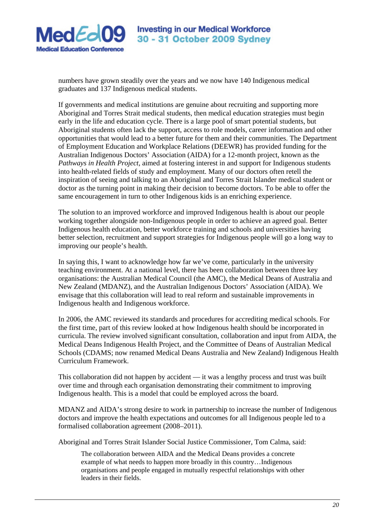

numbers have grown steadily over the years and we now have 140 Indigenous medical graduates and 137 Indigenous medical students.

If governments and medical institutions are genuine about recruiting and supporting more Aboriginal and Torres Strait medical students, then medical education strategies must begin early in the life and education cycle. There is a large pool of smart potential students, but Aboriginal students often lack the support, access to role models, career information and other opportunities that would lead to a better future for them and their communities. The Department of Employment Education and Workplace Relations (DEEWR) has provided funding for the Australian Indigenous Doctors' Association (AIDA) for a 12-month project, known as the *Pathways in Health Project*, aimed at fostering interest in and support for Indigenous students into health-related fields of study and employment. Many of our doctors often retell the inspiration of seeing and talking to an Aboriginal and Torres Strait Islander medical student or doctor as the turning point in making their decision to become doctors. To be able to offer the same encouragement in turn to other Indigenous kids is an enriching experience.

The solution to an improved workforce and improved Indigenous health is about our people working together alongside non-Indigenous people in order to achieve an agreed goal. Better Indigenous health education, better workforce training and schools and universities having better selection, recruitment and support strategies for Indigenous people will go a long way to improving our people's health.

In saying this, I want to acknowledge how far we've come, particularly in the university teaching environment. At a national level, there has been collaboration between three key organisations: the Australian Medical Council (the AMC), the Medical Deans of Australia and New Zealand (MDANZ), and the Australian Indigenous Doctors' Association (AIDA). We envisage that this collaboration will lead to real reform and sustainable improvements in Indigenous health and Indigenous workforce.

In 2006, the AMC reviewed its standards and procedures for accrediting medical schools. For the first time, part of this review looked at how Indigenous health should be incorporated in curricula. The review involved significant consultation, collaboration and input from AIDA, the Medical Deans Indigenous Health Project, and the Committee of Deans of Australian Medical Schools (CDAMS; now renamed Medical Deans Australia and New Zealand) Indigenous Health Curriculum Framework.

This collaboration did not happen by accident — it was a lengthy process and trust was built over time and through each organisation demonstrating their commitment to improving Indigenous health. This is a model that could be employed across the board.

MDANZ and AIDA's strong desire to work in partnership to increase the number of Indigenous doctors and improve the health expectations and outcomes for all Indigenous people led to a formalised collaboration agreement (2008–2011).

Aboriginal and Torres Strait Islander Social Justice Commissioner, Tom Calma, said:

The collaboration between AIDA and the Medical Deans provides a concrete example of what needs to happen more broadly in this country…Indigenous organisations and people engaged in mutually respectful relationships with other leaders in their fields.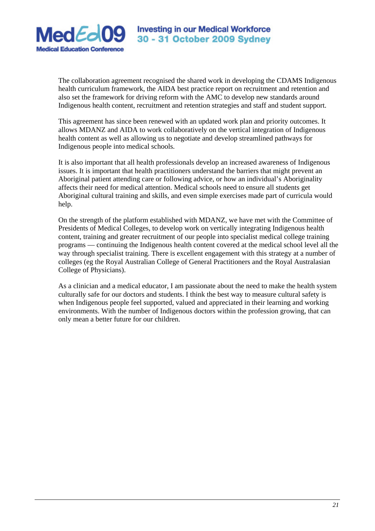

The collaboration agreement recognised the shared work in developing the CDAMS Indigenous health curriculum framework, the AIDA best practice report on recruitment and retention and also set the framework for driving reform with the AMC to develop new standards around Indigenous health content, recruitment and retention strategies and staff and student support.

This agreement has since been renewed with an updated work plan and priority outcomes. It allows MDANZ and AIDA to work collaboratively on the vertical integration of Indigenous health content as well as allowing us to negotiate and develop streamlined pathways for Indigenous people into medical schools.

It is also important that all health professionals develop an increased awareness of Indigenous issues. It is important that health practitioners understand the barriers that might prevent an Aboriginal patient attending care or following advice, or how an individual's Aboriginality affects their need for medical attention. Medical schools need to ensure all students get Aboriginal cultural training and skills, and even simple exercises made part of curricula would help.

On the strength of the platform established with MDANZ, we have met with the Committee of Presidents of Medical Colleges, to develop work on vertically integrating Indigenous health content, training and greater recruitment of our people into specialist medical college training programs — continuing the Indigenous health content covered at the medical school level all the way through specialist training. There is excellent engagement with this strategy at a number of colleges (eg the Royal Australian College of General Practitioners and the Royal Australasian College of Physicians).

As a clinician and a medical educator, I am passionate about the need to make the health system culturally safe for our doctors and students. I think the best way to measure cultural safety is when Indigenous people feel supported, valued and appreciated in their learning and working environments. With the number of Indigenous doctors within the profession growing, that can only mean a better future for our children.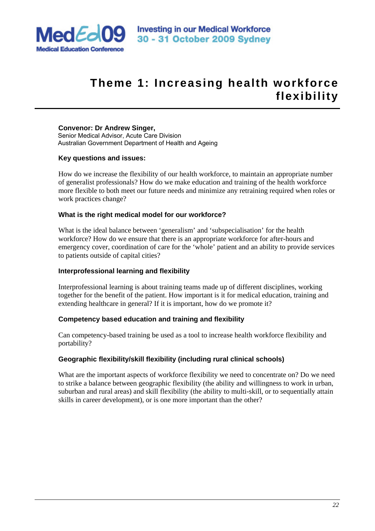

# **Theme 1: Increasing health workforce flexibility**

# **Convenor: Dr Andrew Singer,**

Senior Medical Advisor, Acute Care Division Australian Government Department of Health and Ageing

# **Key questions and issues:**

How do we increase the flexibility of our health workforce, to maintain an appropriate number of generalist professionals? How do we make education and training of the health workforce more flexible to both meet our future needs and minimize any retraining required when roles or work practices change?

# **What is the right medical model for our workforce?**

What is the ideal balance between 'generalism' and 'subspecialisation' for the health workforce? How do we ensure that there is an appropriate workforce for after-hours and emergency cover, coordination of care for the 'whole' patient and an ability to provide services to patients outside of capital cities?

# **Interprofessional learning and flexibility**

Interprofessional learning is about training teams made up of different disciplines, working together for the benefit of the patient. How important is it for medical education, training and extending healthcare in general? If it is important, how do we promote it?

# **Competency based education and training and flexibility**

Can competency-based training be used as a tool to increase health workforce flexibility and portability?

# **Geographic flexibility/skill flexibility (including rural clinical schools)**

What are the important aspects of workforce flexibility we need to concentrate on? Do we need to strike a balance between geographic flexibility (the ability and willingness to work in urban, suburban and rural areas) and skill flexibility (the ability to multi-skill, or to sequentially attain skills in career development), or is one more important than the other?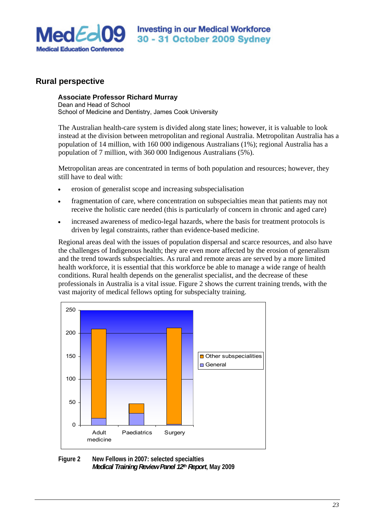

# **Rural perspective**

## **Associate Professor Richard Murray**

Dean and Head of School School of Medicine and Dentistry, James Cook University

The Australian health-care system is divided along state lines; however, it is valuable to look instead at the division between metropolitan and regional Australia. Metropolitan Australia has a population of 14 million, with 160 000 indigenous Australians (1%); regional Australia has a population of 7 million, with 360 000 Indigenous Australians (5%).

Metropolitan areas are concentrated in terms of both population and resources; however, they still have to deal with:

- erosion of generalist scope and increasing subspecialisation
- fragmentation of care, where concentration on subspecialties mean that patients may not receive the holistic care needed (this is particularly of concern in chronic and aged care)
- increased awareness of medico-legal hazards, where the basis for treatment protocols is driven by legal constraints, rather than evidence-based medicine.

Regional areas deal with the issues of population dispersal and scarce resources, and also have the challenges of Indigenous health; they are even more affected by the erosion of generalism and the trend towards subspecialties. As rural and remote areas are served by a more limited health workforce, it is essential that this workforce be able to manage a wide range of health conditions. Rural health depends on the generalist specialist, and the decrease of these professionals in Australia is a vital issue. Figure 2 shows the current training trends, with the vast majority of medical fellows opting for subspecialty training.



**Figure 2 New Fellows in 2007: selected specialties**  *Medical Training Review Panel 12th Report***, May 2009**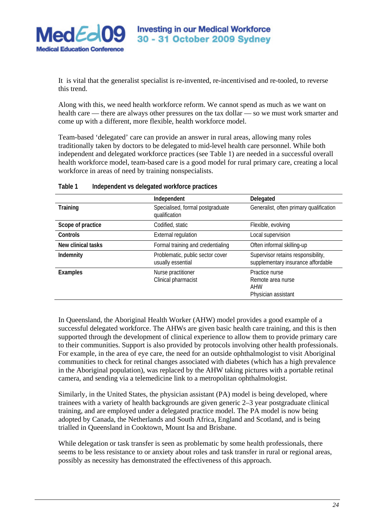

It is vital that the generalist specialist is re-invented, re-incentivised and re-tooled, to reverse this trend.

Along with this, we need health workforce reform. We cannot spend as much as we want on health care — there are always other pressures on the tax dollar — so we must work smarter and come up with a different, more flexible, health workforce model.

Team-based 'delegated' care can provide an answer in rural areas, allowing many roles traditionally taken by doctors to be delegated to mid-level health care personnel. While both independent and delegated workforce practices (see Table 1) are needed in a successful overall health workforce model, team-based care is a good model for rural primary care, creating a local workforce in areas of need by training nonspecialists.

|                    | Independent                                           | Delegated                                                                |
|--------------------|-------------------------------------------------------|--------------------------------------------------------------------------|
| Training           | Specialised, formal postgraduate<br>qualification     | Generalist, often primary qualification                                  |
| Scope of practice  | Codified, static                                      | Flexible, evolving                                                       |
| Controls           | <b>External regulation</b>                            | Local supervision                                                        |
| New clinical tasks | Formal training and credentialing                     | Often informal skilling-up                                               |
| Indemnity          | Problematic, public sector cover<br>usually essential | Supervisor retains responsibility,<br>supplementary insurance affordable |
| Examples           | Nurse practitioner<br>Clinical pharmacist             | Practice nurse<br>Remote area nurse<br>AHW<br>Physician assistant        |

#### **Table 1 Independent vs delegated workforce practices**

In Queensland, the Aboriginal Health Worker (AHW) model provides a good example of a successful delegated workforce. The AHWs are given basic health care training, and this is then supported through the development of clinical experience to allow them to provide primary care to their communities. Support is also provided by protocols involving other health professionals. For example, in the area of eye care, the need for an outside ophthalmologist to visit Aboriginal communities to check for retinal changes associated with diabetes (which has a high prevalence in the Aboriginal population), was replaced by the AHW taking pictures with a portable retinal camera, and sending via a telemedicine link to a metropolitan ophthalmologist.

Similarly, in the United States, the physician assistant (PA) model is being developed, where trainees with a variety of health backgrounds are given generic 2–3 year postgraduate clinical training, and are employed under a delegated practice model. The PA model is now being adopted by Canada, the Netherlands and South Africa, England and Scotland, and is being trialled in Queensland in Cooktown, Mount Isa and Brisbane.

While delegation or task transfer is seen as problematic by some health professionals, there seems to be less resistance to or anxiety about roles and task transfer in rural or regional areas, possibly as necessity has demonstrated the effectiveness of this approach.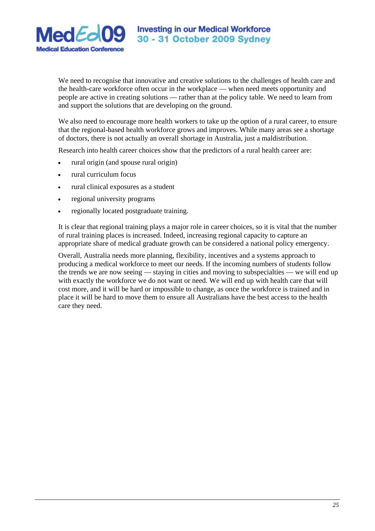

We need to recognise that innovative and creative solutions to the challenges of health care and the health-care workforce often occur in the workplace — when need meets opportunity and people are active in creating solutions — rather than at the policy table. We need to learn from and support the solutions that are developing on the ground.

We also need to encourage more health workers to take up the option of a rural career, to ensure that the regional-based health workforce grows and improves. While many areas see a shortage of doctors, there is not actually an overall shortage in Australia, just a maldistribution.

Research into health career choices show that the predictors of a rural health career are:

- rural origin (and spouse rural origin)
- rural curriculum focus
- rural clinical exposures as a student
- regional university programs
- regionally located postgraduate training.

It is clear that regional training plays a major role in career choices, so it is vital that the number of rural training places is increased. Indeed, increasing regional capacity to capture an appropriate share of medical graduate growth can be considered a national policy emergency.

Overall, Australia needs more planning, flexibility, incentives and a systems approach to producing a medical workforce to meet our needs. If the incoming numbers of students follow the trends we are now seeing — staying in cities and moving to subspecialties — we will end up with exactly the workforce we do not want or need. We will end up with health care that will cost more, and it will be hard or impossible to change, as once the workforce is trained and in place it will be hard to move them to ensure all Australians have the best access to the health care they need.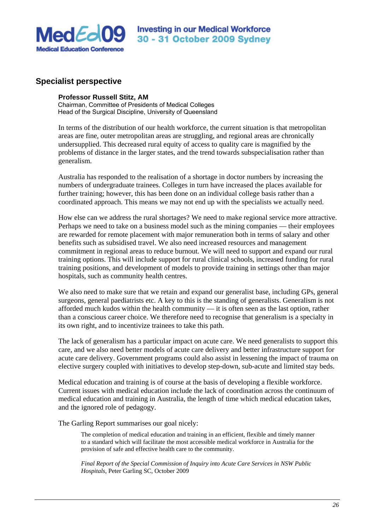

# **Specialist perspective**

### **Professor Russell Stitz, AM**

Chairman, Committee of Presidents of Medical Colleges Head of the Surgical Discipline, University of Queensland

In terms of the distribution of our health workforce, the current situation is that metropolitan areas are fine, outer metropolitan areas are struggling, and regional areas are chronically undersupplied. This decreased rural equity of access to quality care is magnified by the problems of distance in the larger states, and the trend towards subspecialisation rather than generalism.

Australia has responded to the realisation of a shortage in doctor numbers by increasing the numbers of undergraduate trainees. Colleges in turn have increased the places available for further training; however, this has been done on an individual college basis rather than a coordinated approach. This means we may not end up with the specialists we actually need.

How else can we address the rural shortages? We need to make regional service more attractive. Perhaps we need to take on a business model such as the mining companies — their employees are rewarded for remote placement with major remuneration both in terms of salary and other benefits such as subsidised travel. We also need increased resources and management commitment in regional areas to reduce burnout. We will need to support and expand our rural training options. This will include support for rural clinical schools, increased funding for rural training positions, and development of models to provide training in settings other than major hospitals, such as community health centres.

We also need to make sure that we retain and expand our generalist base, including GPs, general surgeons, general paediatrists etc. A key to this is the standing of generalists. Generalism is not afforded much kudos within the health community — it is often seen as the last option, rather than a conscious career choice. We therefore need to recognise that generalism is a specialty in its own right, and to incentivize trainees to take this path.

The lack of generalism has a particular impact on acute care. We need generalists to support this care, and we also need better models of acute care delivery and better infrastructure support for acute care delivery. Government programs could also assist in lessening the impact of trauma on elective surgery coupled with initiatives to develop step-down, sub-acute and limited stay beds.

Medical education and training is of course at the basis of developing a flexible workforce. Current issues with medical education include the lack of coordination across the continuum of medical education and training in Australia, the length of time which medical education takes, and the ignored role of pedagogy.

The Garling Report summarises our goal nicely:

The completion of medical education and training in an efficient, flexible and timely manner to a standard which will facilitate the most accessible medical workforce in Australia for the provision of safe and effective health care to the community.

*Final Report of the Special Commission of Inquiry into Acute Care Services in NSW Public Hospitals*, Peter Garling SC, October 2009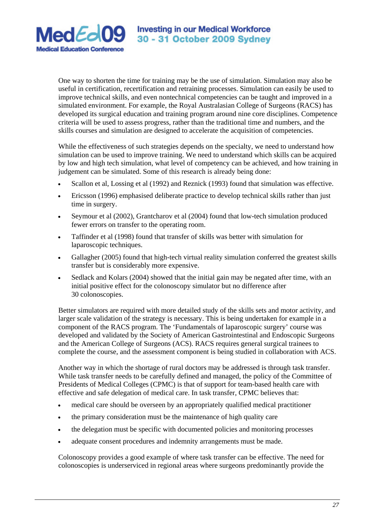

One way to shorten the time for training may be the use of simulation. Simulation may also be useful in certification, recertification and retraining processes. Simulation can easily be used to improve technical skills, and even nontechnical competencies can be taught and improved in a simulated environment. For example, the Royal Australasian College of Surgeons (RACS) has developed its surgical education and training program around nine core disciplines. Competence criteria will be used to assess progress, rather than the traditional time and numbers, and the skills courses and simulation are designed to accelerate the acquisition of competencies.

While the effectiveness of such strategies depends on the specialty, we need to understand how simulation can be used to improve training. We need to understand which skills can be acquired by low and high tech simulation, what level of competency can be achieved, and how training in judgement can be simulated. Some of this research is already being done:

- Scallon et al, Lossing et al (1992) and Reznick (1993) found that simulation was effective.
- Ericsson (1996) emphasised deliberate practice to develop technical skills rather than just time in surgery.
- Seymour et al (2002), Grantcharov et al (2004) found that low-tech simulation produced fewer errors on transfer to the operating room.
- Taffinder et al (1998) found that transfer of skills was better with simulation for laparoscopic techniques.
- Gallagher (2005) found that high-tech virtual reality simulation conferred the greatest skills transfer but is considerably more expensive.
- Sedlack and Kolars (2004) showed that the initial gain may be negated after time, with an initial positive effect for the colonoscopy simulator but no difference after 30 colonoscopies.

Better simulators are required with more detailed study of the skills sets and motor activity, and larger scale validation of the strategy is necessary. This is being undertaken for example in a component of the RACS program. The 'Fundamentals of laparoscopic surgery' course was developed and validated by the Society of American Gastrointestinal and Endoscopic Surgeons and the American College of Surgeons (ACS). RACS requires general surgical trainees to complete the course, and the assessment component is being studied in collaboration with ACS.

Another way in which the shortage of rural doctors may be addressed is through task transfer. While task transfer needs to be carefully defined and managed, the policy of the Committee of Presidents of Medical Colleges (CPMC) is that of support for team-based health care with effective and safe delegation of medical care. In task transfer, CPMC believes that:

- medical care should be overseen by an appropriately qualified medical practitioner
- the primary consideration must be the maintenance of high quality care
- the delegation must be specific with documented policies and monitoring processes
- adequate consent procedures and indemnity arrangements must be made.

Colonoscopy provides a good example of where task transfer can be effective. The need for colonoscopies is underserviced in regional areas where surgeons predominantly provide the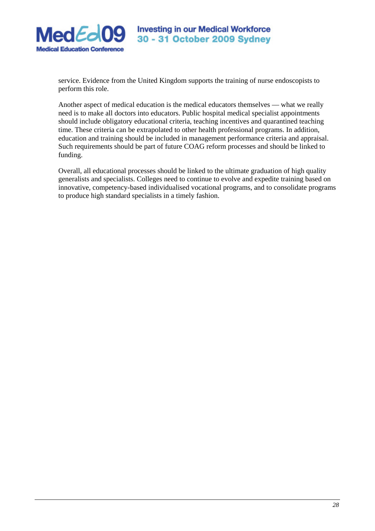

service. Evidence from the United Kingdom supports the training of nurse endoscopists to perform this role.

Another aspect of medical education is the medical educators themselves — what we really need is to make all doctors into educators. Public hospital medical specialist appointments should include obligatory educational criteria, teaching incentives and quarantined teaching time. These criteria can be extrapolated to other health professional programs. In addition, education and training should be included in management performance criteria and appraisal. Such requirements should be part of future COAG reform processes and should be linked to funding.

Overall, all educational processes should be linked to the ultimate graduation of high quality generalists and specialists. Colleges need to continue to evolve and expedite training based on innovative, competency-based individualised vocational programs, and to consolidate programs to produce high standard specialists in a timely fashion.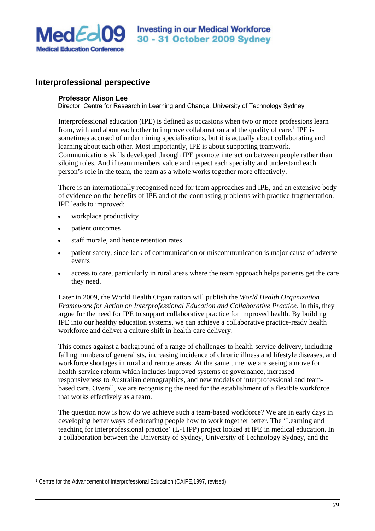

# **Interprofessional perspective**

# **Professor Alison Lee**

Director, Centre for Research in Learning and Change, University of Technology Sydney

Interprofessional education (IPE) is defined as occasions when two or more professions learn from, with and about each other to improve collaboration and the quality of care.<sup>1</sup> IPE is sometimes accused of undermining specialisations, but it is actually about collaborating and learning about each other. Most importantly, IPE is about supporting teamwork. Communications skills developed through IPE promote interaction between people rather than siloing roles. And if team members value and respect each specialty and understand each person's role in the team, the team as a whole works together more effectively.

There is an internationally recognised need for team approaches and IPE, and an extensive body of evidence on the benefits of IPE and of the contrasting problems with practice fragmentation. IPE leads to improved:

- workplace productivity
- patient outcomes
- staff morale, and hence retention rates
- patient safety, since lack of communication or miscommunication is major cause of adverse events
- access to care, particularly in rural areas where the team approach helps patients get the care they need.

Later in 2009, the World Health Organization will publish the *World Health Organization Framework for Action on Interprofessional Education and Collaborative Practice.* In this, they argue for the need for IPE to support collaborative practice for improved health. By building IPE into our healthy education systems, we can achieve a collaborative practice-ready health workforce and deliver a culture shift in health-care delivery.

This comes against a background of a range of challenges to health-service delivery, including falling numbers of generalists, increasing incidence of chronic illness and lifestyle diseases, and workforce shortages in rural and remote areas. At the same time, we are seeing a move for health-service reform which includes improved systems of governance, increased responsiveness to Australian demographics, and new models of interprofessional and teambased care. Overall, we are recognising the need for the establishment of a flexible workforce that works effectively as a team.

The question now is how do we achieve such a team-based workforce? We are in early days in developing better ways of educating people how to work together better. The 'Learning and teaching for interprofessional practice' (L-TIPP) project looked at IPE in medical education. In a collaboration between the University of Sydney, University of Technology Sydney, and the

-

<sup>1</sup> Centre for the Advancement of Interprofessional Education (CAIPE,1997, revised)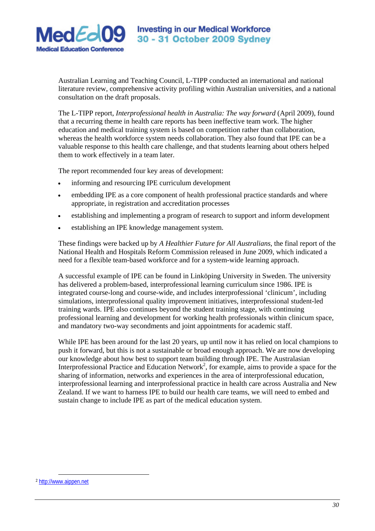

Australian Learning and Teaching Council, L-TIPP conducted an international and national literature review, comprehensive activity profiling within Australian universities, and a national consultation on the draft proposals.

The L-TIPP report, *Interprofessional health in Australia: The way forward* (April 2009), found that a recurring theme in health care reports has been ineffective team work. The higher education and medical training system is based on competition rather than collaboration, whereas the health workforce system needs collaboration. They also found that IPE can be a valuable response to this health care challenge, and that students learning about others helped them to work effectively in a team later.

The report recommended four key areas of development:

- informing and resourcing IPE curriculum development
- embedding IPE as a core component of health professional practice standards and where appropriate, in registration and accreditation processes
- establishing and implementing a program of research to support and inform development
- establishing an IPE knowledge management system.

These findings were backed up by *A Healthier Future for All Australians*, the final report of the National Health and Hospitals Reform Commission released in June 2009, which indicated a need for a flexible team-based workforce and for a system-wide learning approach.

A successful example of IPE can be found in Linköping University in Sweden. The university has delivered a problem-based, interprofessional learning curriculum since 1986. IPE is integrated course-long and course-wide, and includes interprofessional 'clinicum', including simulations, interprofessional quality improvement initiatives, interprofessional student-led training wards. IPE also continues beyond the student training stage, with continuing professional learning and development for working health professionals within clinicum space, and mandatory two-way secondments and joint appointments for academic staff.

While IPE has been around for the last 20 years, up until now it has relied on local champions to push it forward, but this is not a sustainable or broad enough approach. We are now developing our knowledge about how best to support team building through IPE. The Australasian Interprofessional Practice and Education Network<sup>2</sup>, for example, aims to provide a space for the sharing of information, networks and experiences in the area of interprofessional education, interprofessional learning and interprofessional practice in health care across Australia and New Zealand. If we want to harness IPE to build our health care teams, we will need to embed and sustain change to include IPE as part of the medical education system.

 $\overline{a}$ <sup>2</sup> http://www.aippen.net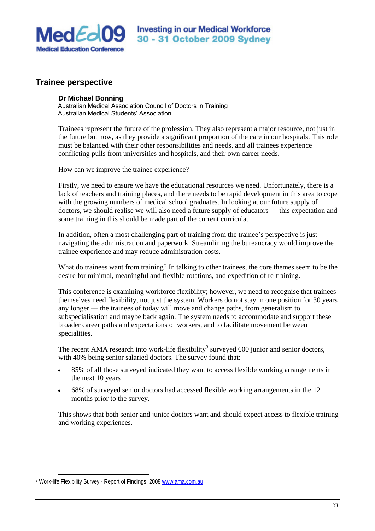

# **Trainee perspective**

### **Dr Michael Bonning**

Australian Medical Association Council of Doctors in Training Australian Medical Students' Association

Trainees represent the future of the profession. They also represent a major resource, not just in the future but now, as they provide a significant proportion of the care in our hospitals. This role must be balanced with their other responsibilities and needs, and all trainees experience conflicting pulls from universities and hospitals, and their own career needs.

How can we improve the trainee experience?

Firstly, we need to ensure we have the educational resources we need. Unfortunately, there is a lack of teachers and training places, and there needs to be rapid development in this area to cope with the growing numbers of medical school graduates. In looking at our future supply of doctors, we should realise we will also need a future supply of educators — this expectation and some training in this should be made part of the current curricula.

In addition, often a most challenging part of training from the trainee's perspective is just navigating the administration and paperwork. Streamlining the bureaucracy would improve the trainee experience and may reduce administration costs.

What do trainees want from training? In talking to other trainees, the core themes seem to be the desire for minimal, meaningful and flexible rotations, and expedition of re-training.

This conference is examining workforce flexibility; however, we need to recognise that trainees themselves need flexibility, not just the system. Workers do not stay in one position for 30 years any longer — the trainees of today will move and change paths, from generalism to subspecialisation and maybe back again. The system needs to accommodate and support these broader career paths and expectations of workers, and to facilitate movement between specialities.

The recent AMA research into work-life flexibility<sup>3</sup> surveyed 600 junior and senior doctors, with 40% being senior salaried doctors. The survey found that:

- 85% of all those surveyed indicated they want to access flexible working arrangements in the next 10 years
- 68% of surveyed senior doctors had accessed flexible working arrangements in the 12 months prior to the survey.

This shows that both senior and junior doctors want and should expect access to flexible training and working experiences.

 $\overline{a}$ 

<sup>3</sup> Work-life Flexibility Survey - Report of Findings, 2008 www.ama.com.au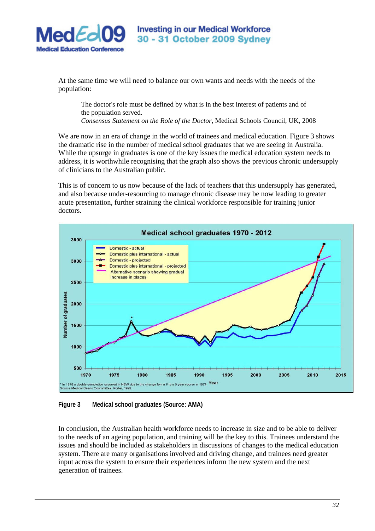

**Investing in our Medical Workforce** 30 - 31 October 2009 Sydney

At the same time we will need to balance our own wants and needs with the needs of the population:

The doctor's role must be defined by what is in the best interest of patients and of the population served. *Consensus Statement on the Role of the Doctor*, Medical Schools Council, UK, 2008

We are now in an era of change in the world of trainees and medical education. Figure 3 shows the dramatic rise in the number of medical school graduates that we are seeing in Australia. While the upsurge in graduates is one of the key issues the medical education system needs to address, it is worthwhile recognising that the graph also shows the previous chronic undersupply of clinicians to the Australian public.

This is of concern to us now because of the lack of teachers that this undersupply has generated, and also because under-resourcing to manage chronic disease may be now leading to greater acute presentation, further straining the clinical workforce responsible for training junior doctors.



**Figure 3 Medical school graduates (Source: AMA)** 

In conclusion, the Australian health workforce needs to increase in size and to be able to deliver to the needs of an ageing population, and training will be the key to this. Trainees understand the issues and should be included as stakeholders in discussions of changes to the medical education system. There are many organisations involved and driving change, and trainees need greater input across the system to ensure their experiences inform the new system and the next generation of trainees.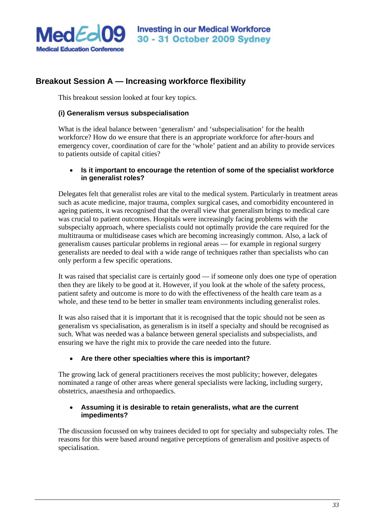

# **Breakout Session A — Increasing workforce flexibility**

This breakout session looked at four key topics.

# **(i) Generalism versus subspecialisation**

What is the ideal balance between 'generalism' and 'subspecialisation' for the health workforce? How do we ensure that there is an appropriate workforce for after-hours and emergency cover, coordination of care for the 'whole' patient and an ability to provide services to patients outside of capital cities?

# • **Is it important to encourage the retention of some of the specialist workforce in generalist roles?**

Delegates felt that generalist roles are vital to the medical system. Particularly in treatment areas such as acute medicine, major trauma, complex surgical cases, and comorbidity encountered in ageing patients, it was recognised that the overall view that generalism brings to medical care was crucial to patient outcomes. Hospitals were increasingly facing problems with the subspecialty approach, where specialists could not optimally provide the care required for the multitrauma or multidisease cases which are becoming increasingly common. Also, a lack of generalism causes particular problems in regional areas — for example in regional surgery generalists are needed to deal with a wide range of techniques rather than specialists who can only perform a few specific operations.

It was raised that specialist care is certainly good — if someone only does one type of operation then they are likely to be good at it. However, if you look at the whole of the safety process, patient safety and outcome is more to do with the effectiveness of the health care team as a whole, and these tend to be better in smaller team environments including generalist roles.

It was also raised that it is important that it is recognised that the topic should not be seen as generalism vs specialisation, as generalism is in itself a specialty and should be recognised as such. What was needed was a balance between general specialists and subspecialists, and ensuring we have the right mix to provide the care needed into the future.

# • **Are there other specialties where this is important?**

The growing lack of general practitioners receives the most publicity; however, delegates nominated a range of other areas where general specialists were lacking, including surgery, obstetrics, anaesthesia and orthopaedics.

# • **Assuming it is desirable to retain generalists, what are the current impediments?**

The discussion focussed on why trainees decided to opt for specialty and subspecialty roles. The reasons for this were based around negative perceptions of generalism and positive aspects of specialisation.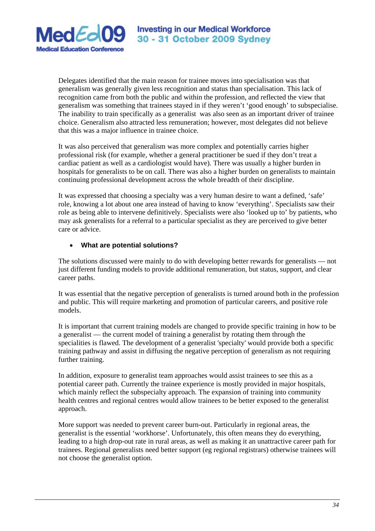

Delegates identified that the main reason for trainee moves into specialisation was that generalism was generally given less recognition and status than specialisation. This lack of recognition came from both the public and within the profession, and reflected the view that generalism was something that trainees stayed in if they weren't 'good enough' to subspecialise. The inability to train specifically as a generalist was also seen as an important driver of trainee choice. Generalism also attracted less remuneration; however, most delegates did not believe that this was a major influence in trainee choice.

It was also perceived that generalism was more complex and potentially carries higher professional risk (for example, whether a general practitioner be sued if they don't treat a cardiac patient as well as a cardiologist would have). There was usually a higher burden in hospitals for generalists to be on call. There was also a higher burden on generalists to maintain continuing professional development across the whole breadth of their discipline.

It was expressed that choosing a specialty was a very human desire to want a defined, 'safe' role, knowing a lot about one area instead of having to know 'everything'. Specialists saw their role as being able to intervene definitively. Specialists were also 'looked up to' by patients, who may ask generalists for a referral to a particular specialist as they are perceived to give better care or advice.

# • **What are potential solutions?**

The solutions discussed were mainly to do with developing better rewards for generalists — not just different funding models to provide additional remuneration, but status, support, and clear career paths.

It was essential that the negative perception of generalists is turned around both in the profession and public. This will require marketing and promotion of particular careers, and positive role models.

It is important that current training models are changed to provide specific training in how to be a generalist — the current model of training a generalist by rotating them through the specialities is flawed. The development of a generalist 'specialty' would provide both a specific training pathway and assist in diffusing the negative perception of generalism as not requiring further training.

In addition, exposure to generalist team approaches would assist trainees to see this as a potential career path. Currently the trainee experience is mostly provided in major hospitals, which mainly reflect the subspecialty approach. The expansion of training into community health centres and regional centres would allow trainees to be better exposed to the generalist approach.

More support was needed to prevent career burn-out. Particularly in regional areas, the generalist is the essential 'workhorse'. Unfortunately, this often means they do everything, leading to a high drop-out rate in rural areas, as well as making it an unattractive career path for trainees. Regional generalists need better support (eg regional registrars) otherwise trainees will not choose the generalist option.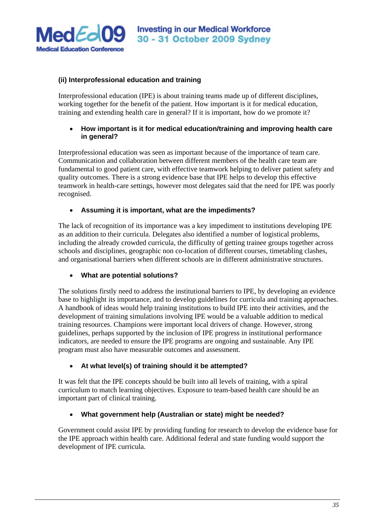

# **(ii) Interprofessional education and training**

Interprofessional education (IPE) is about training teams made up of different disciplines, working together for the benefit of the patient. How important is it for medical education, training and extending health care in general? If it is important, how do we promote it?

# • **How important is it for medical education/training and improving health care in general?**

Interprofessional education was seen as important because of the importance of team care. Communication and collaboration between different members of the health care team are fundamental to good patient care, with effective teamwork helping to deliver patient safety and quality outcomes. There is a strong evidence base that IPE helps to develop this effective teamwork in health-care settings, however most delegates said that the need for IPE was poorly recognised.

# • **Assuming it is important, what are the impediments?**

The lack of recognition of its importance was a key impediment to institutions developing IPE as an addition to their curricula. Delegates also identified a number of logistical problems, including the already crowded curricula, the difficulty of getting trainee groups together across schools and disciplines, geographic non co-location of different courses, timetabling clashes, and organisational barriers when different schools are in different administrative structures.

# • **What are potential solutions?**

The solutions firstly need to address the institutional barriers to IPE, by developing an evidence base to highlight its importance, and to develop guidelines for curricula and training approaches. A handbook of ideas would help training institutions to build IPE into their activities, and the development of training simulations involving IPE would be a valuable addition to medical training resources. Champions were important local drivers of change. However, strong guidelines, perhaps supported by the inclusion of IPE progress in institutional performance indicators, are needed to ensure the IPE programs are ongoing and sustainable. Any IPE program must also have measurable outcomes and assessment.

# • **At what level(s) of training should it be attempted?**

It was felt that the IPE concepts should be built into all levels of training, with a spiral curriculum to match learning objectives. Exposure to team-based health care should be an important part of clinical training.

# • **What government help (Australian or state) might be needed?**

Government could assist IPE by providing funding for research to develop the evidence base for the IPE approach within health care. Additional federal and state funding would support the development of IPE curricula.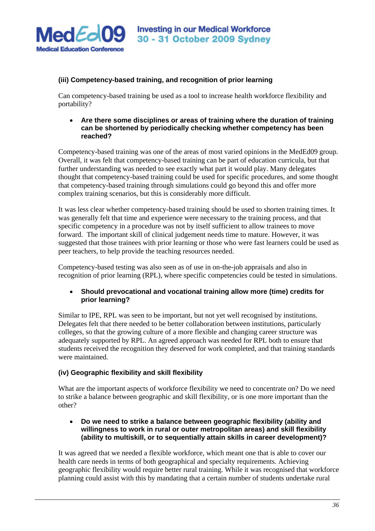

# **(iii) Competency-based training, and recognition of prior learning**

Can competency-based training be used as a tool to increase health workforce flexibility and portability?

## • **Are there some disciplines or areas of training where the duration of training can be shortened by periodically checking whether competency has been reached?**

Competency-based training was one of the areas of most varied opinions in the MedEd09 group. Overall, it was felt that competency-based training can be part of education curricula, but that further understanding was needed to see exactly what part it would play. Many delegates thought that competency-based training could be used for specific procedures, and some thought that competency-based training through simulations could go beyond this and offer more complex training scenarios, but this is considerably more difficult.

It was less clear whether competency-based training should be used to shorten training times. It was generally felt that time and experience were necessary to the training process, and that specific competency in a procedure was not by itself sufficient to allow trainees to move forward. The important skill of clinical judgement needs time to mature. However, it was suggested that those trainees with prior learning or those who were fast learners could be used as peer teachers, to help provide the teaching resources needed.

Competency-based testing was also seen as of use in on-the-job appraisals and also in recognition of prior learning (RPL), where specific competencies could be tested in simulations.

# • **Should prevocational and vocational training allow more (time) credits for prior learning?**

Similar to IPE, RPL was seen to be important, but not yet well recognised by institutions. Delegates felt that there needed to be better collaboration between institutions, particularly colleges, so that the growing culture of a more flexible and changing career structure was adequately supported by RPL. An agreed approach was needed for RPL both to ensure that students received the recognition they deserved for work completed, and that training standards were maintained.

# **(iv) Geographic flexibility and skill flexibility**

What are the important aspects of workforce flexibility we need to concentrate on? Do we need to strike a balance between geographic and skill flexibility, or is one more important than the other?

## • **Do we need to strike a balance between geographic flexibility (ability and willingness to work in rural or outer metropolitan areas) and skill flexibility (ability to multiskill, or to sequentially attain skills in career development)?**

It was agreed that we needed a flexible workforce, which meant one that is able to cover our health care needs in terms of both geographical and specialty requirements. Achieving geographic flexibility would require better rural training. While it was recognised that workforce planning could assist with this by mandating that a certain number of students undertake rural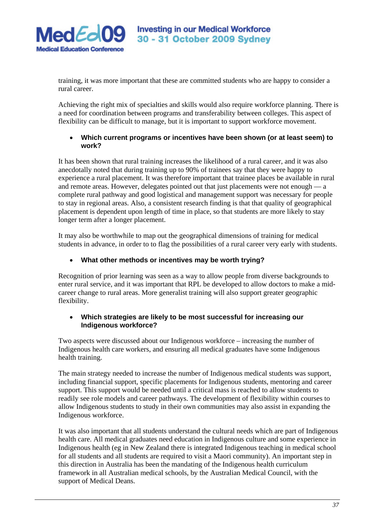

training, it was more important that these are committed students who are happy to consider a rural career.

Achieving the right mix of specialties and skills would also require workforce planning. There is a need for coordination between programs and transferability between colleges. This aspect of flexibility can be difficult to manage, but it is important to support workforce movement.

## • **Which current programs or incentives have been shown (or at least seem) to work?**

It has been shown that rural training increases the likelihood of a rural career, and it was also anecdotally noted that during training up to 90% of trainees say that they were happy to experience a rural placement. It was therefore important that trainee places be available in rural and remote areas. However, delegates pointed out that just placements were not enough — a complete rural pathway and good logistical and management support was necessary for people to stay in regional areas. Also, a consistent research finding is that that quality of geographical placement is dependent upon length of time in place, so that students are more likely to stay longer term after a longer placement.

It may also be worthwhile to map out the geographical dimensions of training for medical students in advance, in order to to flag the possibilities of a rural career very early with students.

# • **What other methods or incentives may be worth trying?**

Recognition of prior learning was seen as a way to allow people from diverse backgrounds to enter rural service, and it was important that RPL be developed to allow doctors to make a midcareer change to rural areas. More generalist training will also support greater geographic flexibility.

# • **Which strategies are likely to be most successful for increasing our Indigenous workforce?**

Two aspects were discussed about our Indigenous workforce – increasing the number of Indigenous health care workers, and ensuring all medical graduates have some Indigenous health training.

The main strategy needed to increase the number of Indigenous medical students was support, including financial support, specific placements for Indigenous students, mentoring and career support. This support would be needed until a critical mass is reached to allow students to readily see role models and career pathways. The development of flexibility within courses to allow Indigenous students to study in their own communities may also assist in expanding the Indigenous workforce.

It was also important that all students understand the cultural needs which are part of Indigenous health care. All medical graduates need education in Indigenous culture and some experience in Indigenous health (eg in New Zealand there is integrated Indigenous teaching in medical school for all students and all students are required to visit a Maori community). An important step in this direction in Australia has been the mandating of the Indigenous health curriculum framework in all Australian medical schools, by the Australian Medical Council, with the support of Medical Deans.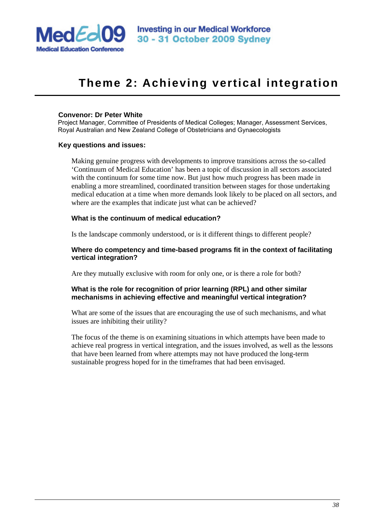

# **Theme 2: Achieving vertical integration**

#### **Convenor: Dr Peter White**

Project Manager, Committee of Presidents of Medical Colleges; Manager, Assessment Services, Royal Australian and New Zealand College of Obstetricians and Gynaecologists

#### **Key questions and issues:**

Making genuine progress with developments to improve transitions across the so-called 'Continuum of Medical Education' has been a topic of discussion in all sectors associated with the continuum for some time now. But just how much progress has been made in enabling a more streamlined, coordinated transition between stages for those undertaking medical education at a time when more demands look likely to be placed on all sectors, and where are the examples that indicate just what can be achieved?

#### **What is the continuum of medical education?**

Is the landscape commonly understood, or is it different things to different people?

#### **Where do competency and time-based programs fit in the context of facilitating vertical integration?**

Are they mutually exclusive with room for only one, or is there a role for both?

## **What is the role for recognition of prior learning (RPL) and other similar mechanisms in achieving effective and meaningful vertical integration?**

What are some of the issues that are encouraging the use of such mechanisms, and what issues are inhibiting their utility?

The focus of the theme is on examining situations in which attempts have been made to achieve real progress in vertical integration, and the issues involved, as well as the lessons that have been learned from where attempts may not have produced the long-term sustainable progress hoped for in the timeframes that had been envisaged.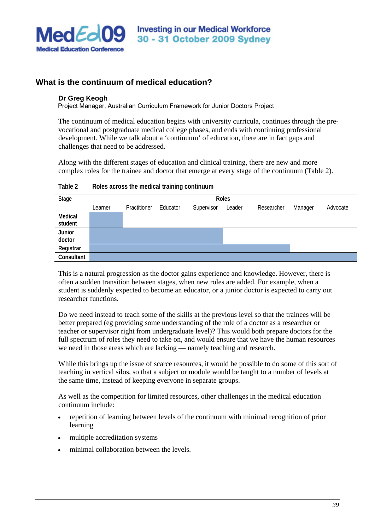

# **What is the continuum of medical education?**

#### **Dr Greg Keogh**

Project Manager, Australian Curriculum Framework for Junior Doctors Project

The continuum of medical education begins with university curricula, continues through the prevocational and postgraduate medical college phases, and ends with continuing professional development. While we talk about a 'continuum' of education, there are in fact gaps and challenges that need to be addressed.

Along with the different stages of education and clinical training, there are new and more complex roles for the trainee and doctor that emerge at every stage of the continuum (Table 2).

| Stage              | <b>Roles</b> |              |          |            |        |            |         |          |
|--------------------|--------------|--------------|----------|------------|--------|------------|---------|----------|
|                    | Learner      | Practitioner | Educator | Supervisor | Leader | Researcher | Manager | Advocate |
| Medical<br>student |              |              |          |            |        |            |         |          |
| Junior<br>doctor   |              |              |          |            |        |            |         |          |
| Registrar          |              |              |          |            |        |            |         |          |
| Consultant         |              |              |          |            |        |            |         |          |

**Table 2 Roles across the medical training continuum** 

This is a natural progression as the doctor gains experience and knowledge. However, there is often a sudden transition between stages, when new roles are added. For example, when a student is suddenly expected to become an educator, or a junior doctor is expected to carry out researcher functions.

Do we need instead to teach some of the skills at the previous level so that the trainees will be better prepared (eg providing some understanding of the role of a doctor as a researcher or teacher or supervisor right from undergraduate level)? This would both prepare doctors for the full spectrum of roles they need to take on, and would ensure that we have the human resources we need in those areas which are lacking — namely teaching and research.

While this brings up the issue of scarce resources, it would be possible to do some of this sort of teaching in vertical silos, so that a subject or module would be taught to a number of levels at the same time, instead of keeping everyone in separate groups.

As well as the competition for limited resources, other challenges in the medical education continuum include:

- repetition of learning between levels of the continuum with minimal recognition of prior learning
- multiple accreditation systems
- minimal collaboration between the levels.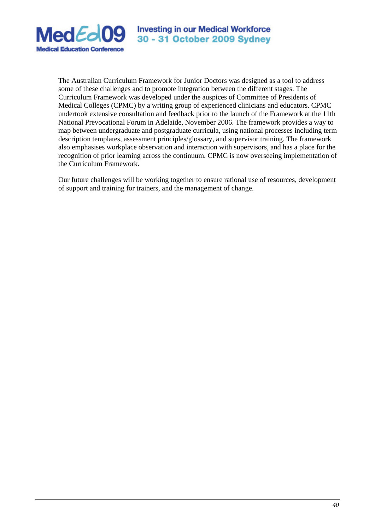

The Australian Curriculum Framework for Junior Doctors was designed as a tool to address some of these challenges and to promote integration between the different stages. The Curriculum Framework was developed under the auspices of Committee of Presidents of Medical Colleges (CPMC) by a writing group of experienced clinicians and educators. CPMC undertook extensive consultation and feedback prior to the launch of the Framework at the 11th National Prevocational Forum in Adelaide, November 2006. The framework provides a way to map between undergraduate and postgraduate curricula, using national processes including term description templates, assessment principles/glossary, and supervisor training. The framework also emphasises workplace observation and interaction with supervisors, and has a place for the recognition of prior learning across the continuum. CPMC is now overseeing implementation of the Curriculum Framework.

Our future challenges will be working together to ensure rational use of resources, development of support and training for trainers, and the management of change.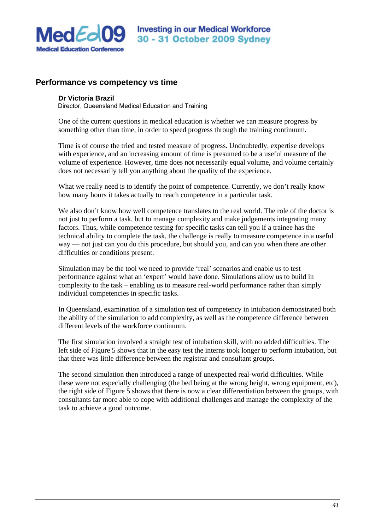

# **Performance vs competency vs time**

#### **Dr Victoria Brazil**

Director, Queensland Medical Education and Training

One of the current questions in medical education is whether we can measure progress by something other than time, in order to speed progress through the training continuum.

Time is of course the tried and tested measure of progress. Undoubtedly, expertise develops with experience, and an increasing amount of time is presumed to be a useful measure of the volume of experience. However, time does not necessarily equal volume, and volume certainly does not necessarily tell you anything about the quality of the experience.

What we really need is to identify the point of competence. Currently, we don't really know how many hours it takes actually to reach competence in a particular task.

We also don't know how well competence translates to the real world. The role of the doctor is not just to perform a task, but to manage complexity and make judgements integrating many factors. Thus, while competence testing for specific tasks can tell you if a trainee has the technical ability to complete the task, the challenge is really to measure competence in a useful way — not just can you do this procedure, but should you, and can you when there are other difficulties or conditions present.

Simulation may be the tool we need to provide 'real' scenarios and enable us to test performance against what an 'expert' would have done. Simulations allow us to build in complexity to the task – enabling us to measure real-world performance rather than simply individual competencies in specific tasks.

In Queensland, examination of a simulation test of competency in intubation demonstrated both the ability of the simulation to add complexity, as well as the competence difference between different levels of the workforce continuum.

The first simulation involved a straight test of intubation skill, with no added difficulties. The left side of Figure 5 shows that in the easy test the interns took longer to perform intubation, but that there was little difference between the registrar and consultant groups.

The second simulation then introduced a range of unexpected real-world difficulties. While these were not especially challenging (the bed being at the wrong height, wrong equipment, etc), the right side of Figure 5 shows that there is now a clear differentiation between the groups, with consultants far more able to cope with additional challenges and manage the complexity of the task to achieve a good outcome.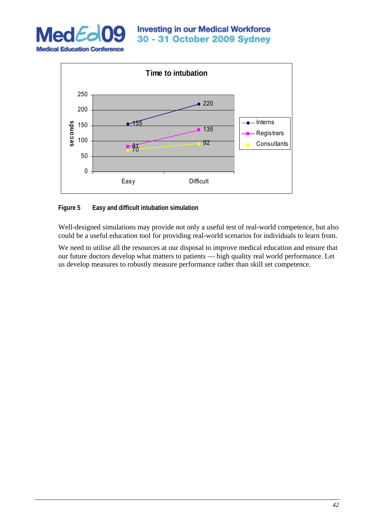



**Figure 5 Easy and difficult intubation simulation** 

Well-designed simulations may provide not only a useful test of real-world competence, but also could be a useful education tool for providing real-world scenarios for individuals to learn from.

We need to utilise all the resources at our disposal to improve medical education and ensure that our future doctors develop what matters to patients — high quality real world performance. Let us develop measures to robustly measure performance rather than skill set competence.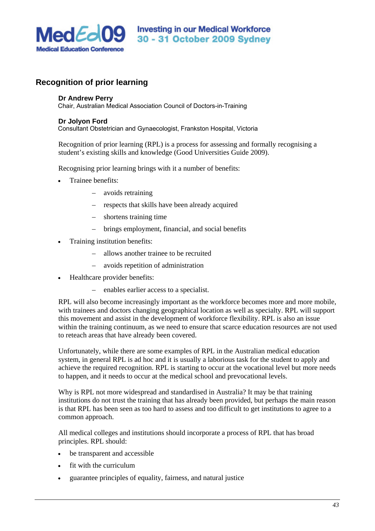

# **Recognition of prior learning**

#### **Dr Andrew Perry**

Chair, Australian Medical Association Council of Doctors-in-Training

#### **Dr Jolyon Ford**

Consultant Obstetrician and Gynaecologist, Frankston Hospital, Victoria

Recognition of prior learning (RPL) is a process for assessing and formally recognising a student's existing skills and knowledge (Good Universities Guide 2009).

Recognising prior learning brings with it a number of benefits:

- Trainee benefits:
	- avoids retraining
	- respects that skills have been already acquired
	- shortens training time
	- brings employment, financial, and social benefits
- Training institution benefits:
	- allows another trainee to be recruited
	- avoids repetition of administration
- Healthcare provider benefits:
	- enables earlier access to a specialist.

RPL will also become increasingly important as the workforce becomes more and more mobile, with trainees and doctors changing geographical location as well as specialty. RPL will support this movement and assist in the development of workforce flexibility. RPL is also an issue within the training continuum, as we need to ensure that scarce education resources are not used to reteach areas that have already been covered.

Unfortunately, while there are some examples of RPL in the Australian medical education system, in general RPL is ad hoc and it is usually a laborious task for the student to apply and achieve the required recognition. RPL is starting to occur at the vocational level but more needs to happen, and it needs to occur at the medical school and prevocational levels.

Why is RPL not more widespread and standardised in Australia? It may be that training institutions do not trust the training that has already been provided, but perhaps the main reason is that RPL has been seen as too hard to assess and too difficult to get institutions to agree to a common approach.

All medical colleges and institutions should incorporate a process of RPL that has broad principles. RPL should:

- be transparent and accessible
- fit with the curriculum
- guarantee principles of equality, fairness, and natural justice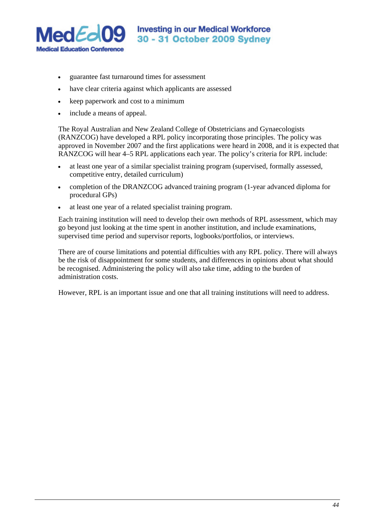

- guarantee fast turnaround times for assessment
- have clear criteria against which applicants are assessed
- keep paperwork and cost to a minimum
- include a means of appeal.

The Royal Australian and New Zealand College of Obstetricians and Gynaecologists (RANZCOG) have developed a RPL policy incorporating those principles. The policy was approved in November 2007 and the first applications were heard in 2008, and it is expected that RANZCOG will hear 4–5 RPL applications each year. The policy's criteria for RPL include:

- at least one year of a similar specialist training program (supervised, formally assessed, competitive entry, detailed curriculum)
- completion of the DRANZCOG advanced training program (1-year advanced diploma for procedural GPs)
- at least one year of a related specialist training program.

Each training institution will need to develop their own methods of RPL assessment, which may go beyond just looking at the time spent in another institution, and include examinations, supervised time period and supervisor reports, logbooks/portfolios, or interviews.

There are of course limitations and potential difficulties with any RPL policy. There will always be the risk of disappointment for some students, and differences in opinions about what should be recognised. Administering the policy will also take time, adding to the burden of administration costs.

However, RPL is an important issue and one that all training institutions will need to address.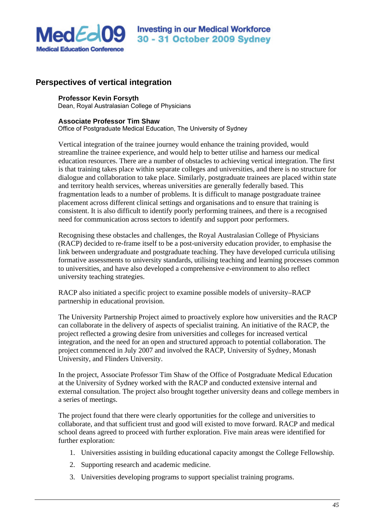

# **Perspectives of vertical integration**

#### **Professor Kevin Forsyth**

Dean, Royal Australasian College of Physicians

#### **Associate Professor Tim Shaw**

Office of Postgraduate Medical Education, The University of Sydney

Vertical integration of the trainee journey would enhance the training provided, would streamline the trainee experience, and would help to better utilise and harness our medical education resources. There are a number of obstacles to achieving vertical integration. The first is that training takes place within separate colleges and universities, and there is no structure for dialogue and collaboration to take place. Similarly, postgraduate trainees are placed within state and territory health services, whereas universities are generally federally based. This fragmentation leads to a number of problems. It is difficult to manage postgraduate trainee placement across different clinical settings and organisations and to ensure that training is consistent. It is also difficult to identify poorly performing trainees, and there is a recognised need for communication across sectors to identify and support poor performers.

Recognising these obstacles and challenges, the Royal Australasian College of Physicians (RACP) decided to re-frame itself to be a post-university education provider, to emphasise the link between undergraduate and postgraduate teaching. They have developed curricula utilising formative assessments to university standards, utilising teaching and learning processes common to universities, and have also developed a comprehensive *e*-environment to also reflect university teaching strategies.

RACP also initiated a specific project to examine possible models of university–RACP partnership in educational provision.

The University Partnership Project aimed to proactively explore how universities and the RACP can collaborate in the delivery of aspects of specialist training. An initiative of the RACP, the project reflected a growing desire from universities and colleges for increased vertical integration, and the need for an open and structured approach to potential collaboration. The project commenced in July 2007 and involved the RACP, University of Sydney, Monash University, and Flinders University.

In the project, Associate Professor Tim Shaw of the Office of Postgraduate Medical Education at the University of Sydney worked with the RACP and conducted extensive internal and external consultation. The project also brought together university deans and college members in a series of meetings.

The project found that there were clearly opportunities for the college and universities to collaborate, and that sufficient trust and good will existed to move forward. RACP and medical school deans agreed to proceed with further exploration. Five main areas were identified for further exploration:

- 1. Universities assisting in building educational capacity amongst the College Fellowship.
- 2. Supporting research and academic medicine.
- 3. Universities developing programs to support specialist training programs.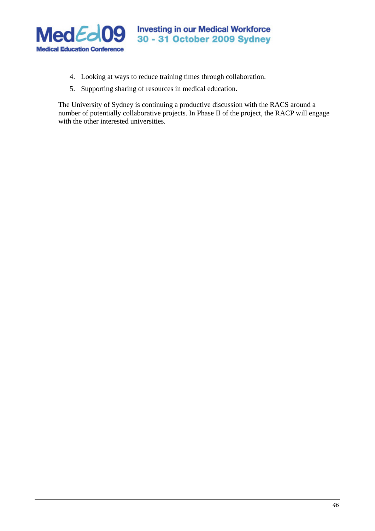

- 4. Looking at ways to reduce training times through collaboration.
- 5. Supporting sharing of resources in medical education.

The University of Sydney is continuing a productive discussion with the RACS around a number of potentially collaborative projects. In Phase II of the project, the RACP will engage with the other interested universities.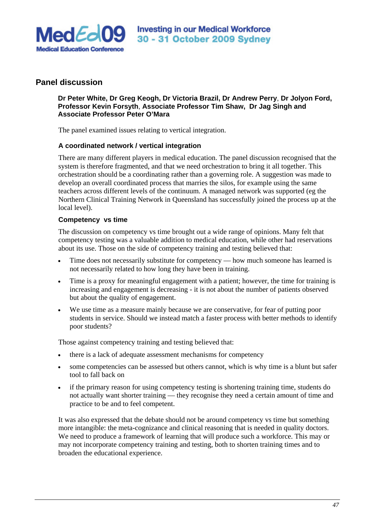

# **Panel discussion**

## **Dr Peter White, Dr Greg Keogh, Dr Victoria Brazil, Dr Andrew Perry**, **Dr Jolyon Ford, Professor Kevin Forsyth**, **Associate Professor Tim Shaw, Dr Jag Singh and Associate Professor Peter O'Mara**

The panel examined issues relating to vertical integration.

## **A coordinated network / vertical integration**

There are many different players in medical education. The panel discussion recognised that the system is therefore fragmented, and that we need orchestration to bring it all together. This orchestration should be a coordinating rather than a governing role. A suggestion was made to develop an overall coordinated process that marries the silos, for example using the same teachers across different levels of the continuum. A managed network was supported (eg the Northern Clinical Training Network in Queensland has successfully joined the process up at the local level).

#### **Competency vs time**

The discussion on competency vs time brought out a wide range of opinions. Many felt that competency testing was a valuable addition to medical education, while other had reservations about its use. Those on the side of competency training and testing believed that:

- Time does not necessarily substitute for competency how much someone has learned is not necessarily related to how long they have been in training.
- Time is a proxy for meaningful engagement with a patient; however, the time for training is increasing and engagement is decreasing - it is not about the number of patients observed but about the quality of engagement.
- We use time as a measure mainly because we are conservative, for fear of putting poor students in service. Should we instead match a faster process with better methods to identify poor students?

Those against competency training and testing believed that:

- there is a lack of adequate assessment mechanisms for competency
- some competencies can be assessed but others cannot, which is why time is a blunt but safer tool to fall back on
- if the primary reason for using competency testing is shortening training time, students do not actually want shorter training — they recognise they need a certain amount of time and practice to be and to feel competent.

It was also expressed that the debate should not be around competency vs time but something more intangible: the meta-cognizance and clinical reasoning that is needed in quality doctors. We need to produce a framework of learning that will produce such a workforce. This may or may not incorporate competency training and testing, both to shorten training times and to broaden the educational experience.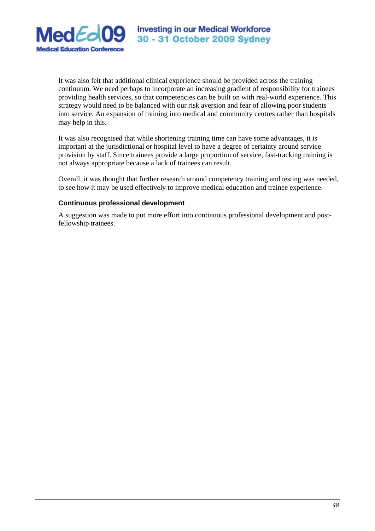

It was also felt that additional clinical experience should be provided across the training continuum. We need perhaps to incorporate an increasing gradient of responsibility for trainees providing health services, so that competencies can be built on with real-world experience. This strategy would need to be balanced with our risk aversion and fear of allowing poor students into service. An expansion of training into medical and community centres rather than hospitals may help in this.

It was also recognised that while shortening training time can have some advantages, it is important at the jurisdictional or hospital level to have a degree of certainty around service provision by staff. Since trainees provide a large proportion of service, fast-tracking training is not always appropriate because a lack of trainees can result.

Overall, it was thought that further research around competency training and testing was needed, to see how it may be used effectively to improve medical education and trainee experience.

## **Continuous professional development**

A suggestion was made to put more effort into continuous professional development and postfellowship trainees.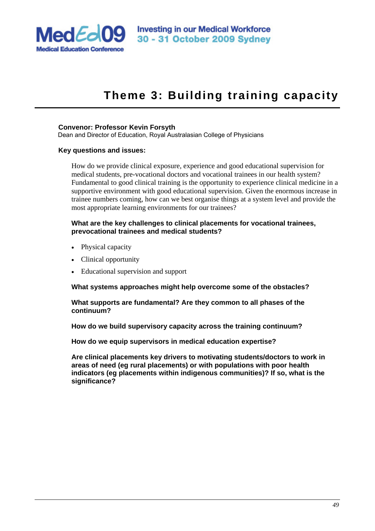

# **Theme 3: Building training capacity**

#### **Convenor: Professor Kevin Forsyth**

Dean and Director of Education, Royal Australasian College of Physicians

#### **Key questions and issues:**

How do we provide clinical exposure, experience and good educational supervision for medical students, pre-vocational doctors and vocational trainees in our health system? Fundamental to good clinical training is the opportunity to experience clinical medicine in a supportive environment with good educational supervision. Given the enormous increase in trainee numbers coming, how can we best organise things at a system level and provide the most appropriate learning environments for our trainees?

#### **What are the key challenges to clinical placements for vocational trainees, prevocational trainees and medical students?**

- Physical capacity
- Clinical opportunity
- Educational supervision and support

**What systems approaches might help overcome some of the obstacles?** 

**What supports are fundamental? Are they common to all phases of the continuum?** 

**How do we build supervisory capacity across the training continuum?** 

**How do we equip supervisors in medical education expertise?** 

**Are clinical placements key drivers to motivating students/doctors to work in areas of need (eg rural placements) or with populations with poor health indicators (eg placements within indigenous communities)? If so, what is the significance?**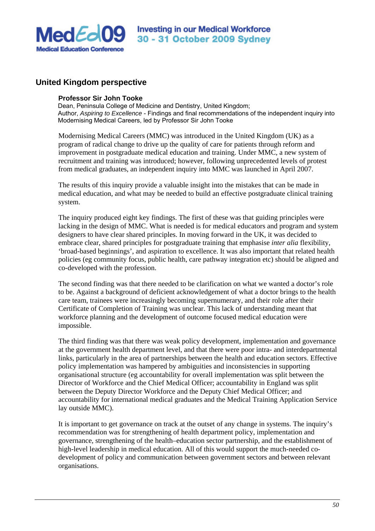

# **United Kingdom perspective**

#### **Professor Sir John Tooke**

Dean, Peninsula College of Medicine and Dentistry, United Kingdom; Author, *Aspiring to Excellence* - Findings and final recommendations of the independent inquiry into Modernising Medical Careers, led by Professor Sir John Tooke

Modernising Medical Careers (MMC) was introduced in the United Kingdom (UK) as a program of radical change to drive up the quality of care for patients through reform and improvement in postgraduate medical education and training. Under MMC, a new system of recruitment and training was introduced; however, following unprecedented levels of protest from medical graduates, an independent inquiry into MMC was launched in April 2007.

The results of this inquiry provide a valuable insight into the mistakes that can be made in medical education, and what may be needed to build an effective postgraduate clinical training system.

The inquiry produced eight key findings. The first of these was that guiding principles were lacking in the design of MMC. What is needed is for medical educators and program and system designers to have clear shared principles. In moving forward in the UK, it was decided to embrace clear, shared principles for postgraduate training that emphasise *inter alia* flexibility, 'broad-based beginnings', and aspiration to excellence. It was also important that related health policies (eg community focus, public health, care pathway integration etc) should be aligned and co-developed with the profession.

The second finding was that there needed to be clarification on what we wanted a doctor's role to be. Against a background of deficient acknowledgement of what a doctor brings to the health care team, trainees were increasingly becoming supernumerary, and their role after their Certificate of Completion of Training was unclear. This lack of understanding meant that workforce planning and the development of outcome focused medical education were impossible.

The third finding was that there was weak policy development, implementation and governance at the government health department level, and that there were poor intra- and interdepartmental links, particularly in the area of partnerships between the health and education sectors. Effective policy implementation was hampered by ambiguities and inconsistencies in supporting organisational structure (eg accountability for overall implementation was split between the Director of Workforce and the Chief Medical Officer; accountability in England was split between the Deputy Director Workforce and the Deputy Chief Medical Officer; and accountability for international medical graduates and the Medical Training Application Service lay outside MMC).

It is important to get governance on track at the outset of any change in systems. The inquiry's recommendation was for strengthening of health department policy, implementation and governance, strengthening of the health–education sector partnership, and the establishment of high-level leadership in medical education. All of this would support the much-needed codevelopment of policy and communication between government sectors and between relevant organisations.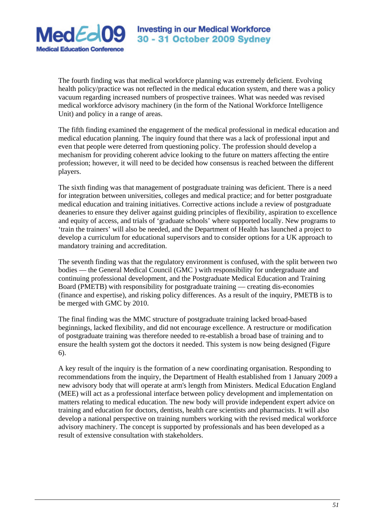

The fourth finding was that medical workforce planning was extremely deficient. Evolving health policy/practice was not reflected in the medical education system, and there was a policy vacuum regarding increased numbers of prospective trainees. What was needed was revised medical workforce advisory machinery (in the form of the National Workforce Intelligence Unit) and policy in a range of areas.

The fifth finding examined the engagement of the medical professional in medical education and medical education planning. The inquiry found that there was a lack of professional input and even that people were deterred from questioning policy. The profession should develop a mechanism for providing coherent advice looking to the future on matters affecting the entire profession; however, it will need to be decided how consensus is reached between the different players.

The sixth finding was that management of postgraduate training was deficient. There is a need for integration between universities, colleges and medical practice; and for better postgraduate medical education and training initiatives. Corrective actions include a review of postgraduate deaneries to ensure they deliver against guiding principles of flexibility, aspiration to excellence and equity of access, and trials of 'graduate schools' where supported locally. New programs to 'train the trainers' will also be needed, and the Department of Health has launched a project to develop a curriculum for educational supervisors and to consider options for a UK approach to mandatory training and accreditation.

The seventh finding was that the regulatory environment is confused, with the split between two bodies — the General Medical Council (GMC ) with responsibility for undergraduate and continuing professional development, and the Postgraduate Medical Education and Training Board (PMETB) with responsibility for postgraduate training — creating dis-economies (finance and expertise), and risking policy differences. As a result of the inquiry, PMETB is to be merged with GMC by 2010.

The final finding was the MMC structure of postgraduate training lacked broad-based beginnings, lacked flexibility, and did not encourage excellence. A restructure or modification of postgraduate training was therefore needed to re-establish a broad base of training and to ensure the health system got the doctors it needed. This system is now being designed (Figure 6).

A key result of the inquiry is the formation of a new coordinating organisation. Responding to recommendations from the inquiry, the Department of Health established from 1 January 2009 a new advisory body that will operate at arm's length from Ministers. Medical Education England (MEE) will act as a professional interface between policy development and implementation on matters relating to medical education. The new body will provide independent expert advice on training and education for doctors, dentists, health care scientists and pharmacists. It will also develop a national perspective on training numbers working with the revised medical workforce advisory machinery. The concept is supported by professionals and has been developed as a result of extensive consultation with stakeholders.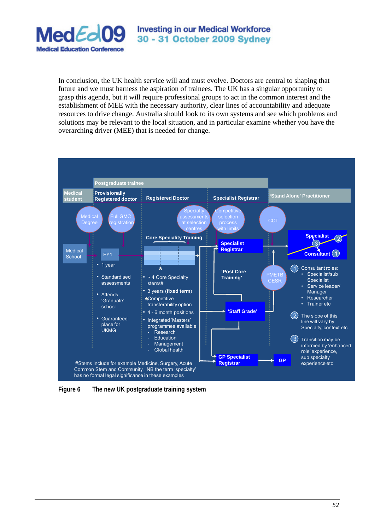

In conclusion, the UK health service will and must evolve. Doctors are central to shaping that future and we must harness the aspiration of trainees. The UK has a singular opportunity to grasp this agenda, but it will require professional groups to act in the common interest and the establishment of MEE with the necessary authority, clear lines of accountability and adequate resources to drive change. Australia should look to its own systems and see which problems and solutions may be relevant to the local situation, and in particular examine whether you have the overarching driver (MEE) that is needed for change.



**Figure 6 The new UK postgraduate training system**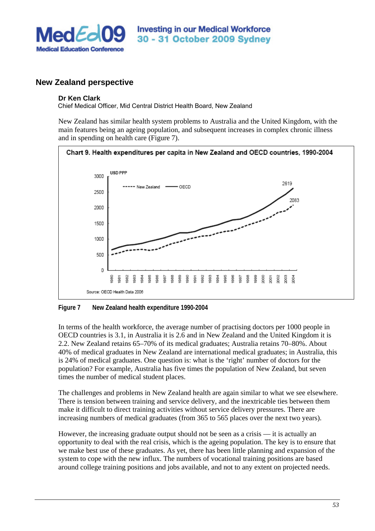

# **New Zealand perspective**

## **Dr Ken Clark**

Chief Medical Officer, Mid Central District Health Board, New Zealand

New Zealand has similar health system problems to Australia and the United Kingdom, with the main features being an ageing population, and subsequent increases in complex chronic illness and in spending on health care (Figure 7).



**Figure 7 New Zealand health expenditure 1990-2004** 

In terms of the health workforce, the average number of practising doctors per 1000 people in OECD countries is 3.1, in Australia it is 2.6 and in New Zealand and the United Kingdom it is 2.2. New Zealand retains 65–70% of its medical graduates; Australia retains 70–80%. About 40% of medical graduates in New Zealand are international medical graduates; in Australia, this is 24% of medical graduates. One question is: what is the 'right' number of doctors for the population? For example, Australia has five times the population of New Zealand, but seven times the number of medical student places.

The challenges and problems in New Zealand health are again similar to what we see elsewhere. There is tension between training and service delivery, and the inextricable ties between them make it difficult to direct training activities without service delivery pressures. There are increasing numbers of medical graduates (from 365 to 565 places over the next two years).

However, the increasing graduate output should not be seen as a crisis — it is actually an opportunity to deal with the real crisis, which is the ageing population. The key is to ensure that we make best use of these graduates. As yet, there has been little planning and expansion of the system to cope with the new influx. The numbers of vocational training positions are based around college training positions and jobs available, and not to any extent on projected needs.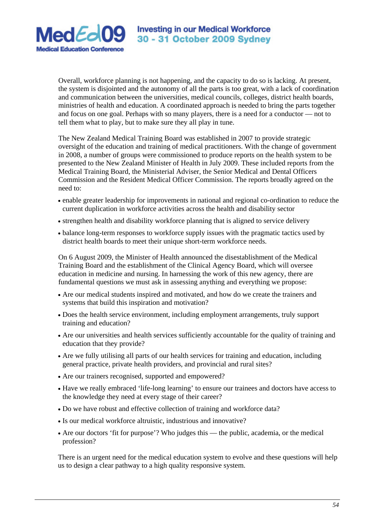

Overall, workforce planning is not happening, and the capacity to do so is lacking. At present, the system is disjointed and the autonomy of all the parts is too great, with a lack of coordination and communication between the universities, medical councils, colleges, district health boards, ministries of health and education. A coordinated approach is needed to bring the parts together and focus on one goal. Perhaps with so many players, there is a need for a conductor — not to tell them what to play, but to make sure they all play in tune.

The New Zealand Medical Training Board was established in 2007 to provide strategic oversight of the education and training of medical practitioners. With the change of government in 2008, a number of groups were commissioned to produce reports on the health system to be presented to the New Zealand Minister of Health in July 2009. These included reports from the Medical Training Board, the Ministerial Adviser, the Senior Medical and Dental Officers Commission and the Resident Medical Officer Commission. The reports broadly agreed on the need to:

- enable greater leadership for improvements in national and regional co-ordination to reduce the current duplication in workforce activities across the health and disability sector
- strengthen health and disability workforce planning that is aligned to service delivery
- balance long-term responses to workforce supply issues with the pragmatic tactics used by district health boards to meet their unique short-term workforce needs.

On 6 August 2009, the Minister of Health announced the disestablishment of the Medical Training Board and the establishment of the Clinical Agency Board, which will oversee education in medicine and nursing. In harnessing the work of this new agency, there are fundamental questions we must ask in assessing anything and everything we propose:

- Are our medical students inspired and motivated, and how do we create the trainers and systems that build this inspiration and motivation?
- Does the health service environment, including employment arrangements, truly support training and education?
- Are our universities and health services sufficiently accountable for the quality of training and education that they provide?
- Are we fully utilising all parts of our health services for training and education, including general practice, private health providers, and provincial and rural sites?
- Are our trainers recognised, supported and empowered?
- Have we really embraced 'life-long learning' to ensure our trainees and doctors have access to the knowledge they need at every stage of their career?
- Do we have robust and effective collection of training and workforce data?
- Is our medical workforce altruistic, industrious and innovative?
- Are our doctors 'fit for purpose'? Who judges this the public, academia, or the medical profession?

There is an urgent need for the medical education system to evolve and these questions will help us to design a clear pathway to a high quality responsive system.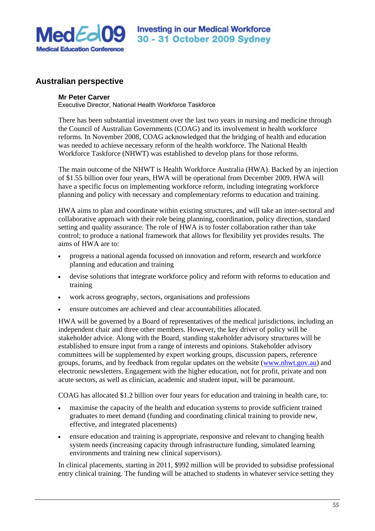

# **Australian perspective**

## **Mr Peter Carver**

Executive Director, National Health Workforce Taskforce

There has been substantial investment over the last two years in nursing and medicine through the Council of Australian Governments (COAG) and its involvement in health workforce reforms. In November 2008, COAG acknowledged that the bridging of health and education was needed to achieve necessary reform of the health workforce. The National Health Workforce Taskforce (NHWT) was established to develop plans for those reforms.

The main outcome of the NHWT is Health Workforce Australia (HWA). Backed by an injection of \$1.55 billion over four years, HWA will be operational from December 2009. HWA will have a specific focus on implementing workforce reform, including integrating workforce planning and policy with necessary and complementary reforms to education and training.

HWA aims to plan and coordinate within existing structures, and will take an inter-sectoral and collaborative approach with their role being planning, coordination, policy direction, standard setting and quality assurance. The role of HWA is to foster collaboration rather than take control; to produce a national framework that allows for flexibility yet provides results. The aims of HWA are to:

- progress a national agenda focussed on innovation and reform, research and workforce planning and education and training
- devise solutions that integrate workforce policy and reform with reforms to education and training
- work across geography, sectors, organisations and professions
- ensure outcomes are achieved and clear accountabilities allocated.

HWA will be governed by a Board of representatives of the medical jurisdictions, including an independent chair and three other members. However, the key driver of policy will be stakeholder advice. Along with the Board, standing stakeholder advisory structures will be established to ensure input from a range of interests and opinions. Stakeholder advisory committees will be supplemented by expert working groups, discussion papers, reference groups, forums, and by feedback from regular updates on the website (www.nhwt.gov.au) and electronic newsletters. Engagement with the higher education, not for profit, private and non acute sectors, as well as clinician, academic and student input, will be paramount.

COAG has allocated \$1.2 billion over four years for education and training in health care, to:

- maximise the capacity of the health and education systems to provide sufficient trained graduates to meet demand (funding and coordinating clinical training to provide new, effective, and integrated placements)
- ensure education and training is appropriate, responsive and relevant to changing health system needs (increasing capacity through infrastructure funding, simulated learning environments and training new clinical supervisors).

In clinical placements, starting in 2011, \$992 million will be provided to subsidise professional entry clinical training. The funding will be attached to students in whatever service setting they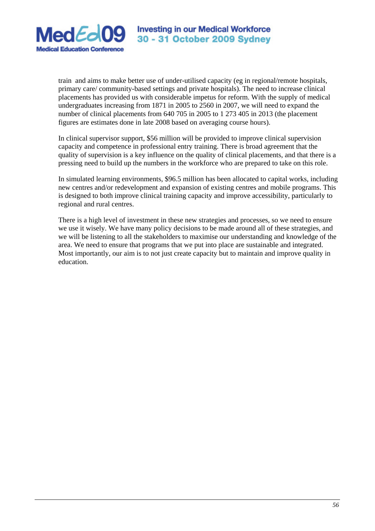

train and aims to make better use of under-utilised capacity (eg in regional/remote hospitals, primary care/ community-based settings and private hospitals). The need to increase clinical placements has provided us with considerable impetus for reform. With the supply of medical undergraduates increasing from 1871 in 2005 to 2560 in 2007, we will need to expand the number of clinical placements from 640 705 in 2005 to 1 273 405 in 2013 (the placement figures are estimates done in late 2008 based on averaging course hours).

In clinical supervisor support, \$56 million will be provided to improve clinical supervision capacity and competence in professional entry training. There is broad agreement that the quality of supervision is a key influence on the quality of clinical placements, and that there is a pressing need to build up the numbers in the workforce who are prepared to take on this role.

In simulated learning environments, \$96.5 million has been allocated to capital works, including new centres and/or redevelopment and expansion of existing centres and mobile programs. This is designed to both improve clinical training capacity and improve accessibility, particularly to regional and rural centres.

There is a high level of investment in these new strategies and processes, so we need to ensure we use it wisely. We have many policy decisions to be made around all of these strategies, and we will be listening to all the stakeholders to maximise our understanding and knowledge of the area. We need to ensure that programs that we put into place are sustainable and integrated. Most importantly, our aim is to not just create capacity but to maintain and improve quality in education.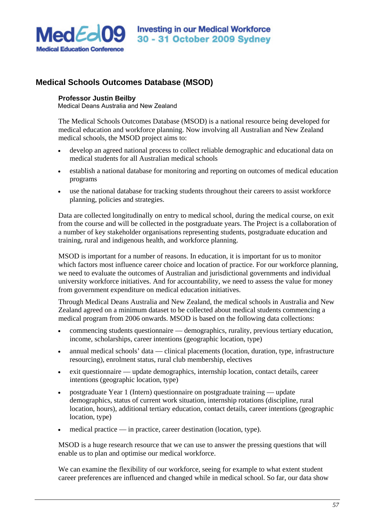

# **Medical Schools Outcomes Database (MSOD)**

#### **Professor Justin Beilby**

Medical Deans Australia and New Zealand

The Medical Schools Outcomes Database (MSOD) is a national resource being developed for medical education and workforce planning. Now involving all Australian and New Zealand medical schools, the MSOD project aims to:

- develop an agreed national process to collect reliable demographic and educational data on medical students for all Australian medical schools
- establish a national database for monitoring and reporting on outcomes of medical education programs
- use the national database for tracking students throughout their careers to assist workforce planning, policies and strategies.

Data are collected longitudinally on entry to medical school, during the medical course, on exit from the course and will be collected in the postgraduate years. The Project is a collaboration of a number of key stakeholder organisations representing students, postgraduate education and training, rural and indigenous health, and workforce planning.

MSOD is important for a number of reasons. In education, it is important for us to monitor which factors most influence career choice and location of practice. For our workforce planning, we need to evaluate the outcomes of Australian and jurisdictional governments and individual university workforce initiatives. And for accountability, we need to assess the value for money from government expenditure on medical education initiatives.

Through Medical Deans Australia and New Zealand, the medical schools in Australia and New Zealand agreed on a minimum dataset to be collected about medical students commencing a medical program from 2006 onwards. MSOD is based on the following data collections:

- commencing students questionnaire demographics, rurality, previous tertiary education, income, scholarships, career intentions (geographic location, type)
- annual medical schools' data clinical placements (location, duration, type, infrastructure resourcing), enrolment status, rural club membership, electives
- exit questionnaire update demographics, internship location, contact details, career intentions (geographic location, type)
- postgraduate Year 1 (Intern) questionnaire on postgraduate training update demographics, status of current work situation, internship rotations (discipline, rural location, hours), additional tertiary education, contact details, career intentions (geographic location, type)
- medical practice in practice, career destination (location, type).

MSOD is a huge research resource that we can use to answer the pressing questions that will enable us to plan and optimise our medical workforce.

We can examine the flexibility of our workforce, seeing for example to what extent student career preferences are influenced and changed while in medical school. So far, our data show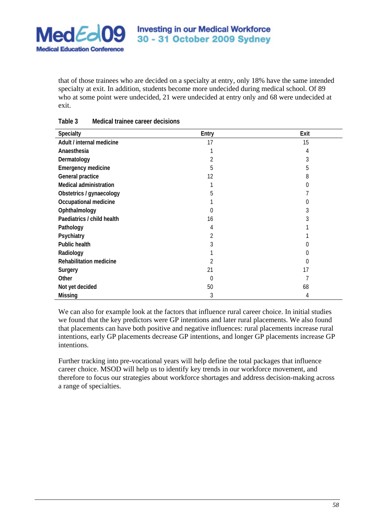

that of those trainees who are decided on a specialty at entry, only 18% have the same intended specialty at exit. In addition, students become more undecided during medical school. Of 89 who at some point were undecided, 21 were undecided at entry only and 68 were undecided at exit.

| <b>Specialty</b>               | Entry    | Exit             |
|--------------------------------|----------|------------------|
| Adult / internal medicine      | 17       | 15               |
| Anaesthesia                    |          | 4                |
| Dermatology                    |          | 3                |
| <b>Emergency medicine</b>      | 5        | 5                |
| General practice               | 12       | 8                |
| <b>Medical administration</b>  |          | 0                |
| Obstetrics / gynaecology       | 5        |                  |
| Occupational medicine          |          |                  |
| Ophthalmology                  | 0        |                  |
| Paediatrics / child health     | 16       |                  |
| Pathology                      | 4        |                  |
| Psychiatry                     | 2        |                  |
| <b>Public health</b>           | 3        |                  |
| Radiology                      |          |                  |
| <b>Rehabilitation medicine</b> | 2        | $\left( \right)$ |
| Surgery                        | 21       | 17               |
| Other                          | $\theta$ |                  |
| Not yet decided                | 50       | 68               |
| <b>Missing</b>                 | 3        | 4                |

## **Table 3 Medical trainee career decisions**

We can also for example look at the factors that influence rural career choice. In initial studies we found that the key predictors were GP intentions and later rural placements. We also found that placements can have both positive and negative influences: rural placements increase rural intentions, early GP placements decrease GP intentions, and longer GP placements increase GP intentions.

Further tracking into pre-vocational years will help define the total packages that influence career choice. MSOD will help us to identify key trends in our workforce movement, and therefore to focus our strategies about workforce shortages and address decision-making across a range of specialties.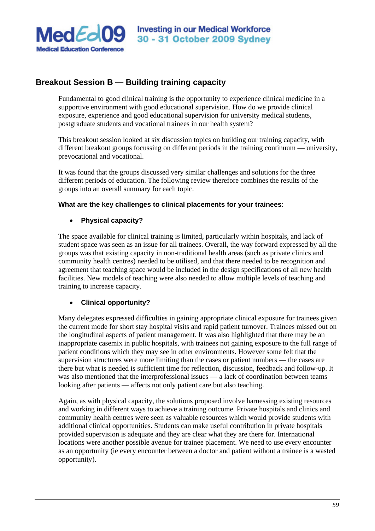

# **Breakout Session B — Building training capacity**

Fundamental to good clinical training is the opportunity to experience clinical medicine in a supportive environment with good educational supervision. How do we provide clinical exposure, experience and good educational supervision for university medical students, postgraduate students and vocational trainees in our health system?

This breakout session looked at six discussion topics on building our training capacity, with different breakout groups focussing on different periods in the training continuum — university, prevocational and vocational.

It was found that the groups discussed very similar challenges and solutions for the three different periods of education. The following review therefore combines the results of the groups into an overall summary for each topic.

# **What are the key challenges to clinical placements for your trainees:**

# • **Physical capacity?**

The space available for clinical training is limited, particularly within hospitals, and lack of student space was seen as an issue for all trainees. Overall, the way forward expressed by all the groups was that existing capacity in non-traditional health areas (such as private clinics and community health centres) needed to be utilised, and that there needed to be recognition and agreement that teaching space would be included in the design specifications of all new health facilities. New models of teaching were also needed to allow multiple levels of teaching and training to increase capacity.

# • **Clinical opportunity?**

Many delegates expressed difficulties in gaining appropriate clinical exposure for trainees given the current mode for short stay hospital visits and rapid patient turnover. Trainees missed out on the longitudinal aspects of patient management. It was also highlighted that there may be an inappropriate casemix in public hospitals, with trainees not gaining exposure to the full range of patient conditions which they may see in other environments. However some felt that the supervision structures were more limiting than the cases or patient numbers — the cases are there but what is needed is sufficient time for reflection, discussion, feedback and follow-up. It was also mentioned that the interprofessional issues — a lack of coordination between teams looking after patients — affects not only patient care but also teaching.

Again, as with physical capacity, the solutions proposed involve harnessing existing resources and working in different ways to achieve a training outcome. Private hospitals and clinics and community health centres were seen as valuable resources which would provide students with additional clinical opportunities. Students can make useful contribution in private hospitals provided supervision is adequate and they are clear what they are there for. International locations were another possible avenue for trainee placement. We need to use every encounter as an opportunity (ie every encounter between a doctor and patient without a trainee is a wasted opportunity).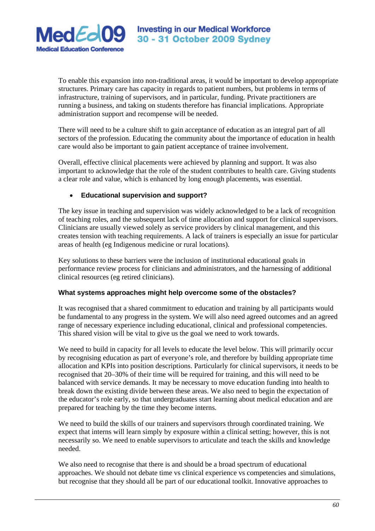

To enable this expansion into non-traditional areas, it would be important to develop appropriate structures. Primary care has capacity in regards to patient numbers, but problems in terms of infrastructure, training of supervisors, and in particular, funding. Private practitioners are running a business, and taking on students therefore has financial implications. Appropriate administration support and recompense will be needed.

There will need to be a culture shift to gain acceptance of education as an integral part of all sectors of the profession. Educating the community about the importance of education in health care would also be important to gain patient acceptance of trainee involvement.

Overall, effective clinical placements were achieved by planning and support. It was also important to acknowledge that the role of the student contributes to health care. Giving students a clear role and value, which is enhanced by long enough placements, was essential.

# • **Educational supervision and support?**

The key issue in teaching and supervision was widely acknowledged to be a lack of recognition of teaching roles, and the subsequent lack of time allocation and support for clinical supervisors. Clinicians are usually viewed solely as service providers by clinical management, and this creates tension with teaching requirements. A lack of trainers is especially an issue for particular areas of health (eg Indigenous medicine or rural locations).

Key solutions to these barriers were the inclusion of institutional educational goals in performance review process for clinicians and administrators, and the harnessing of additional clinical resources (eg retired clinicians).

# **What systems approaches might help overcome some of the obstacles?**

It was recognised that a shared commitment to education and training by all participants would be fundamental to any progress in the system. We will also need agreed outcomes and an agreed range of necessary experience including educational, clinical and professional competencies. This shared vision will be vital to give us the goal we need to work towards.

We need to build in capacity for all levels to educate the level below. This will primarily occur by recognising education as part of everyone's role, and therefore by building appropriate time allocation and KPIs into position descriptions. Particularly for clinical supervisors, it needs to be recognised that 20–30% of their time will be required for training, and this will need to be balanced with service demands. It may be necessary to move education funding into health to break down the existing divide between these areas. We also need to begin the expectation of the educator's role early, so that undergraduates start learning about medical education and are prepared for teaching by the time they become interns.

We need to build the skills of our trainers and supervisors through coordinated training. We expect that interns will learn simply by exposure within a clinical setting; however, this is not necessarily so. We need to enable supervisors to articulate and teach the skills and knowledge needed.

We also need to recognise that there is and should be a broad spectrum of educational approaches. We should not debate time vs clinical experience vs competencies and simulations, but recognise that they should all be part of our educational toolkit. Innovative approaches to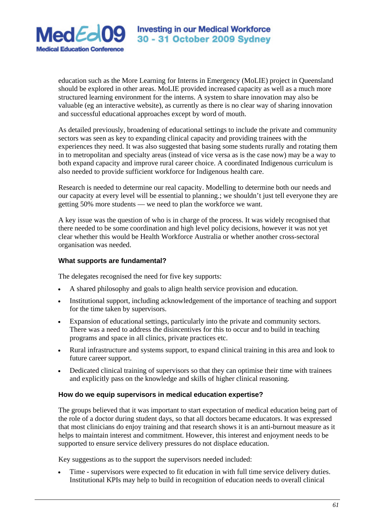

education such as the More Learning for Interns in Emergency (MoLIE) project in Queensland should be explored in other areas. MoLIE provided increased capacity as well as a much more structured learning environment for the interns. A system to share innovation may also be valuable (eg an interactive website), as currently as there is no clear way of sharing innovation and successful educational approaches except by word of mouth.

As detailed previously, broadening of educational settings to include the private and community sectors was seen as key to expanding clinical capacity and providing trainees with the experiences they need. It was also suggested that basing some students rurally and rotating them in to metropolitan and specialty areas (instead of vice versa as is the case now) may be a way to both expand capacity and improve rural career choice. A coordinated Indigenous curriculum is also needed to provide sufficient workforce for Indigenous health care.

Research is needed to determine our real capacity. Modelling to determine both our needs and our capacity at every level will be essential to planning.; we shouldn't just tell everyone they are getting 50% more students — we need to plan the workforce we want.

A key issue was the question of who is in charge of the process. It was widely recognised that there needed to be some coordination and high level policy decisions, however it was not yet clear whether this would be Health Workforce Australia or whether another cross-sectoral organisation was needed.

# **What supports are fundamental?**

The delegates recognised the need for five key supports:

- A shared philosophy and goals to align health service provision and education.
- Institutional support, including acknowledgement of the importance of teaching and support for the time taken by supervisors.
- Expansion of educational settings, particularly into the private and community sectors. There was a need to address the disincentives for this to occur and to build in teaching programs and space in all clinics, private practices etc.
- Rural infrastructure and systems support, to expand clinical training in this area and look to future career support.
- Dedicated clinical training of supervisors so that they can optimise their time with trainees and explicitly pass on the knowledge and skills of higher clinical reasoning.

# **How do we equip supervisors in medical education expertise?**

The groups believed that it was important to start expectation of medical education being part of the role of a doctor during student days, so that all doctors became educators. It was expressed that most clinicians do enjoy training and that research shows it is an anti-burnout measure as it helps to maintain interest and commitment. However, this interest and enjoyment needs to be supported to ensure service delivery pressures do not displace education.

Key suggestions as to the support the supervisors needed included:

Time - supervisors were expected to fit education in with full time service delivery duties. Institutional KPIs may help to build in recognition of education needs to overall clinical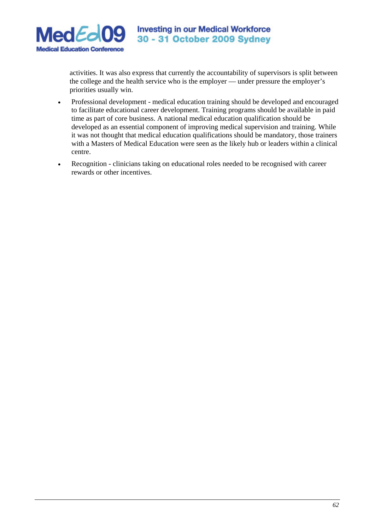

 activities. It was also express that currently the accountability of supervisors is split between the college and the health service who is the employer — under pressure the employer's priorities usually win.

- Professional development medical education training should be developed and encouraged to facilitate educational career development. Training programs should be available in paid time as part of core business. A national medical education qualification should be developed as an essential component of improving medical supervision and training. While it was not thought that medical education qualifications should be mandatory, those trainers with a Masters of Medical Education were seen as the likely hub or leaders within a clinical centre.
- Recognition clinicians taking on educational roles needed to be recognised with career rewards or other incentives.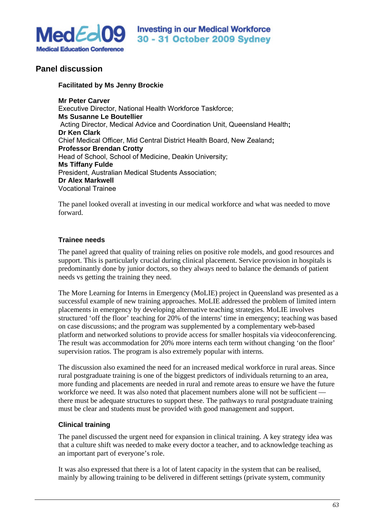

# **Panel discussion**

## **Facilitated by Ms Jenny Brockie**

**Mr Peter Carver**  Executive Director, National Health Workforce Taskforce; **Ms Susanne Le Boutellier**  Acting Director, Medical Advice and Coordination Unit, Queensland Health**; Dr Ken Clark**  Chief Medical Officer, Mid Central District Health Board, New Zealand**; Professor Brendan Crotty**  Head of School, School of Medicine, Deakin University; **Ms Tiffany Fulde**  President, Australian Medical Students Association; **Dr Alex Markwell**  Vocational Trainee

The panel looked overall at investing in our medical workforce and what was needed to move forward.

# **Trainee needs**

The panel agreed that quality of training relies on positive role models, and good resources and support. This is particularly crucial during clinical placement. Service provision in hospitals is predominantly done by junior doctors, so they always need to balance the demands of patient needs vs getting the training they need.

The More Learning for Interns in Emergency (MoLIE) project in Queensland was presented as a successful example of new training approaches. MoLIE addressed the problem of limited intern placements in emergency by developing alternative teaching strategies. MoLIE involves structured 'off the floor' teaching for 20% of the interns' time in emergency; teaching was based on case discussions; and the program was supplemented by a complementary web-based platform and networked solutions to provide access for smaller hospitals via videoconferencing. The result was accommodation for 20% more interns each term without changing 'on the floor' supervision ratios. The program is also extremely popular with interns.

The discussion also examined the need for an increased medical workforce in rural areas. Since rural postgraduate training is one of the biggest predictors of individuals returning to an area, more funding and placements are needed in rural and remote areas to ensure we have the future workforce we need. It was also noted that placement numbers alone will not be sufficient there must be adequate structures to support these. The pathways to rural postgraduate training must be clear and students must be provided with good management and support.

# **Clinical training**

The panel discussed the urgent need for expansion in clinical training. A key strategy idea was that a culture shift was needed to make every doctor a teacher, and to acknowledge teaching as an important part of everyone's role.

It was also expressed that there is a lot of latent capacity in the system that can be realised, mainly by allowing training to be delivered in different settings (private system, community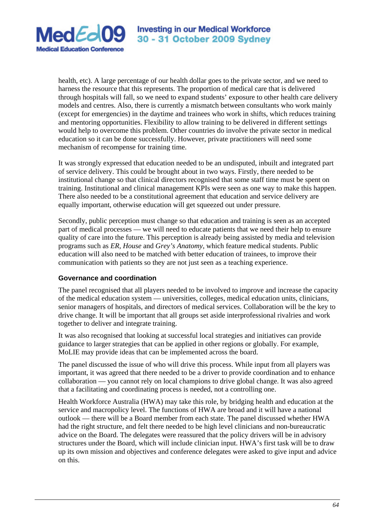

health, etc). A large percentage of our health dollar goes to the private sector, and we need to harness the resource that this represents. The proportion of medical care that is delivered through hospitals will fall, so we need to expand students' exposure to other health care delivery models and centres. Also, there is currently a mismatch between consultants who work mainly (except for emergencies) in the daytime and trainees who work in shifts, which reduces training and mentoring opportunities. Flexibility to allow training to be delivered in different settings would help to overcome this problem. Other countries do involve the private sector in medical education so it can be done successfully. However, private practitioners will need some mechanism of recompense for training time.

It was strongly expressed that education needed to be an undisputed, inbuilt and integrated part of service delivery. This could be brought about in two ways. Firstly, there needed to be institutional change so that clinical directors recognised that some staff time must be spent on training. Institutional and clinical management KPIs were seen as one way to make this happen. There also needed to be a constitutional agreement that education and service delivery are equally important, otherwise education will get squeezed out under pressure.

Secondly, public perception must change so that education and training is seen as an accepted part of medical processes — we will need to educate patients that we need their help to ensure quality of care into the future. This perception is already being assisted by media and television programs such as *ER*, *House* and *Grey's Anatomy*, which feature medical students. Public education will also need to be matched with better education of trainees, to improve their communication with patients so they are not just seen as a teaching experience.

# **Governance and coordination**

The panel recognised that all players needed to be involved to improve and increase the capacity of the medical education system — universities, colleges, medical education units, clinicians, senior managers of hospitals, and directors of medical services. Collaboration will be the key to drive change. It will be important that all groups set aside interprofessional rivalries and work together to deliver and integrate training.

It was also recognised that looking at successful local strategies and initiatives can provide guidance to larger strategies that can be applied in other regions or globally. For example, MoLIE may provide ideas that can be implemented across the board.

The panel discussed the issue of who will drive this process. While input from all players was important, it was agreed that there needed to be a driver to provide coordination and to enhance collaboration — you cannot rely on local champions to drive global change. It was also agreed that a facilitating and coordinating process is needed, not a controlling one.

Health Workforce Australia (HWA) may take this role, by bridging health and education at the service and macropolicy level. The functions of HWA are broad and it will have a national outlook — there will be a Board member from each state. The panel discussed whether HWA had the right structure, and felt there needed to be high level clinicians and non-bureaucratic advice on the Board. The delegates were reassured that the policy drivers will be in advisory structures under the Board, which will include clinician input. HWA's first task will be to draw up its own mission and objectives and conference delegates were asked to give input and advice on this.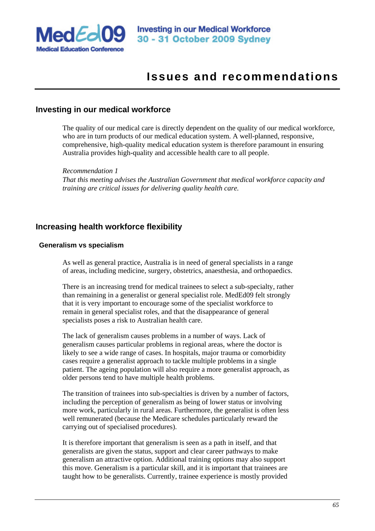

# **Issues and recommendations**

# **Investing in our medical workforce**

The quality of our medical care is directly dependent on the quality of our medical workforce, who are in turn products of our medical education system. A well-planned, responsive, comprehensive, high-quality medical education system is therefore paramount in ensuring Australia provides high-quality and accessible health care to all people.

*Recommendation 1 That this meeting advises the Australian Government that medical workforce capacity and training are critical issues for delivering quality health care.* 

# **Increasing health workforce flexibility**

## **Generalism vs specialism**

As well as general practice, Australia is in need of general specialists in a range of areas, including medicine, surgery, obstetrics, anaesthesia, and orthopaedics.

There is an increasing trend for medical trainees to select a sub-specialty, rather than remaining in a generalist or general specialist role. MedEd09 felt strongly that it is very important to encourage some of the specialist workforce to remain in general specialist roles, and that the disappearance of general specialists poses a risk to Australian health care.

The lack of generalism causes problems in a number of ways. Lack of generalism causes particular problems in regional areas, where the doctor is likely to see a wide range of cases. In hospitals, major trauma or comorbidity cases require a generalist approach to tackle multiple problems in a single patient. The ageing population will also require a more generalist approach, as older persons tend to have multiple health problems.

The transition of trainees into sub-specialties is driven by a number of factors, including the perception of generalism as being of lower status or involving more work, particularly in rural areas. Furthermore, the generalist is often less well remunerated (because the Medicare schedules particularly reward the carrying out of specialised procedures).

It is therefore important that generalism is seen as a path in itself, and that generalists are given the status, support and clear career pathways to make generalism an attractive option. Additional training options may also support this move. Generalism is a particular skill, and it is important that trainees are taught how to be generalists. Currently, trainee experience is mostly provided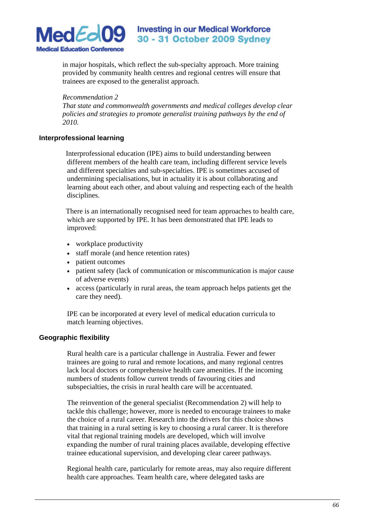

in major hospitals, which reflect the sub-specialty approach. More training provided by community health centres and regional centres will ensure that trainees are exposed to the generalist approach.

#### *Recommendation 2*

*That state and commonwealth governments and medical colleges develop clear policies and strategies to promote generalist training pathways by the end of 2010.* 

## **Interprofessional learning**

Interprofessional education (IPE) aims to build understanding between different members of the health care team, including different service levels and different specialties and sub-specialties. IPE is sometimes accused of undermining specialisations, but in actuality it is about collaborating and learning about each other, and about valuing and respecting each of the health disciplines.

There is an internationally recognised need for team approaches to health care, which are supported by IPE. It has been demonstrated that IPE leads to improved:

- workplace productivity
- staff morale (and hence retention rates)
- patient outcomes
- patient safety (lack of communication or miscommunication is major cause of adverse events)
- access (particularly in rural areas, the team approach helps patients get the care they need).

IPE can be incorporated at every level of medical education curricula to match learning objectives.

## **Geographic flexibility**

Rural health care is a particular challenge in Australia. Fewer and fewer trainees are going to rural and remote locations, and many regional centres lack local doctors or comprehensive health care amenities. If the incoming numbers of students follow current trends of favouring cities and subspecialties, the crisis in rural health care will be accentuated.

The reinvention of the general specialist (Recommendation 2) will help to tackle this challenge; however, more is needed to encourage trainees to make the choice of a rural career. Research into the drivers for this choice shows that training in a rural setting is key to choosing a rural career. It is therefore vital that regional training models are developed, which will involve expanding the number of rural training places available, developing effective trainee educational supervision, and developing clear career pathways.

Regional health care, particularly for remote areas, may also require different health care approaches. Team health care, where delegated tasks are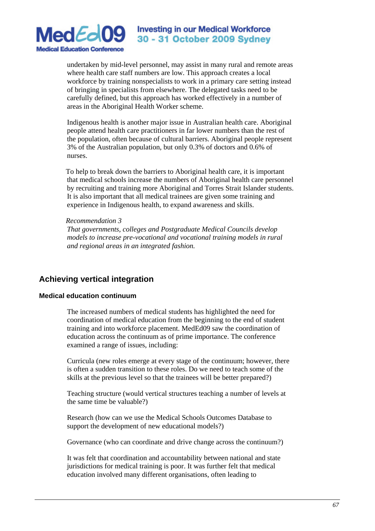

undertaken by mid-level personnel, may assist in many rural and remote areas where health care staff numbers are low. This approach creates a local workforce by training nonspecialists to work in a primary care setting instead of bringing in specialists from elsewhere. The delegated tasks need to be carefully defined, but this approach has worked effectively in a number of areas in the Aboriginal Health Worker scheme.

Indigenous health is another major issue in Australian health care. Aboriginal people attend health care practitioners in far lower numbers than the rest of the population, often because of cultural barriers. Aboriginal people represent 3% of the Australian population, but only 0.3% of doctors and 0.6% of nurses.

To help to break down the barriers to Aboriginal health care, it is important that medical schools increase the numbers of Aboriginal health care personnel by recruiting and training more Aboriginal and Torres Strait Islander students. It is also important that all medical trainees are given some training and experience in Indigenous health, to expand awareness and skills.

#### *Recommendation 3*

*That governments, colleges and Postgraduate Medical Councils develop models to increase pre-vocational and vocational training models in rural and regional areas in an integrated fashion.* 

# **Achieving vertical integration**

## **Medical education continuum**

The increased numbers of medical students has highlighted the need for coordination of medical education from the beginning to the end of student training and into workforce placement. MedEd09 saw the coordination of education across the continuum as of prime importance. The conference examined a range of issues, including:

Curricula (new roles emerge at every stage of the continuum; however, there is often a sudden transition to these roles. Do we need to teach some of the skills at the previous level so that the trainees will be better prepared?)

Teaching structure (would vertical structures teaching a number of levels at the same time be valuable?)

Research (how can we use the Medical Schools Outcomes Database to support the development of new educational models?)

Governance (who can coordinate and drive change across the continuum?)

It was felt that coordination and accountability between national and state jurisdictions for medical training is poor. It was further felt that medical education involved many different organisations, often leading to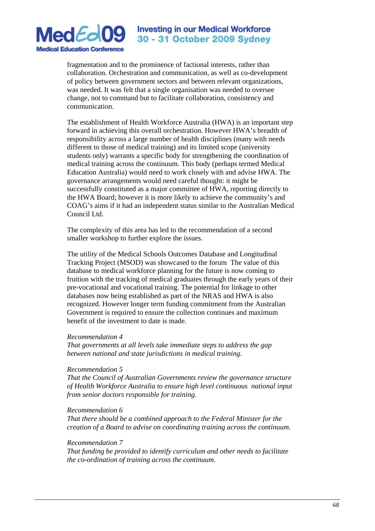

fragmentation and to the prominence of factional interests, rather than collaboration. Orchestration and communication, as well as co-development of policy between government sectors and between relevant organizations, was needed. It was felt that a single organisation was needed to oversee change, not to command but to facilitate collaboration, consistency and communication.

The establishment of Health Workforce Australia (HWA) is an important step forward in achieving this overall orchestration. However HWA's breadth of responsibility across a large number of health disciplines (many with needs different to those of medical training) and its limited scope (university students only) warrants a specific body for strengthening the coordination of medical training across the continuum. This body (perhaps termed Medical Education Australia) would need to work closely with and advise HWA. The governance arrangements would need careful thought: it might be successfully constituted as a major committee of HWA, reporting directly to the HWA Board; however it is more likely to achieve the community's and COAG's aims if it had an independent status similar to the Australian Medical Council Ltd.

The complexity of this area has led to the recommendation of a second smaller workshop to further explore the issues.

The utility of the Medical Schools Outcomes Database and Longitudinal Tracking Project (MSOD) was showcased to the forum The value of this database to medical workforce planning for the future is now coming to fruition with the tracking of medical graduates through the early years of their pre-vocational and vocational training. The potential for linkage to other databases now being established as part of the NRAS and HWA is also recognized. However longer term funding commitment from the Australian Government is required to ensure the collection continues and maximum benefit of the investment to date is made.

#### *Recommendation 4*

*That governments at all levels take immediate steps to address the gap between national and state jurisdictions in medical training.* 

#### *Recommendation 5*

*That the Council of Australian Governments review the governance structure of Health Workforce Australia to ensure high level continuous national input from senior doctors responsible for training.* 

#### *Recommendation 6*

*That there should be a combined approach to the Federal Minister for the creation of a Board to advise on coordinating training across the continuum.* 

#### *Recommendation 7*

*That funding be provided to identify curriculum and other needs to facilitate the co-ordination of training across the continuum.*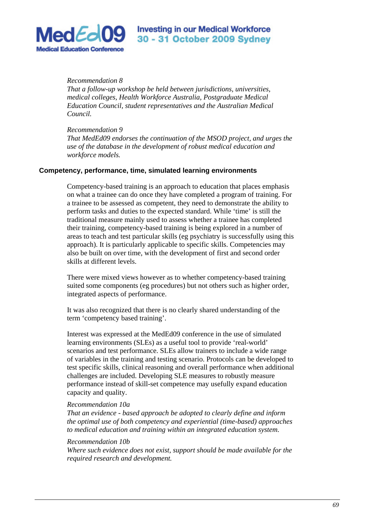

*Recommendation 8* 

*That a follow-up workshop be held between jurisdictions, universities, medical colleges, Health Workforce Australia, Postgraduate Medical Education Council, student representatives and the Australian Medical Council.* 

*Recommendation 9* 

*That MedEd09 endorses the continuation of the MSOD project, and urges the use of the database in the development of robust medical education and workforce models.*

#### **Competency, performance, time, simulated learning environments**

Competency-based training is an approach to education that places emphasis on what a trainee can do once they have completed a program of training. For a trainee to be assessed as competent, they need to demonstrate the ability to perform tasks and duties to the expected standard. While 'time' is still the traditional measure mainly used to assess whether a trainee has completed their training, competency-based training is being explored in a number of areas to teach and test particular skills (eg psychiatry is successfully using this approach). It is particularly applicable to specific skills. Competencies may also be built on over time, with the development of first and second order skills at different levels.

There were mixed views however as to whether competency-based training suited some components (eg procedures) but not others such as higher order, integrated aspects of performance.

It was also recognized that there is no clearly shared understanding of the term 'competency based training'.

Interest was expressed at the MedEd09 conference in the use of simulated learning environments (SLEs) as a useful tool to provide 'real-world' scenarios and test performance. SLEs allow trainers to include a wide range of variables in the training and testing scenario. Protocols can be developed to test specific skills, clinical reasoning and overall performance when additional challenges are included. Developing SLE measures to robustly measure performance instead of skill-set competence may usefully expand education capacity and quality.

#### *Recommendation 10a*

*That an evidence - based approach be adopted to clearly define and inform the optimal use of both competency and experiential (time-based) approaches to medical education and training within an integrated education system.* 

#### *Recommendation 10b*

*Where such evidence does not exist, support should be made available for the required research and development.*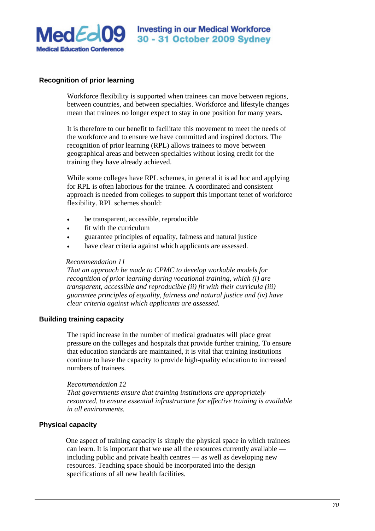

## **Recognition of prior learning**

Workforce flexibility is supported when trainees can move between regions, between countries, and between specialties. Workforce and lifestyle changes mean that trainees no longer expect to stay in one position for many years.

It is therefore to our benefit to facilitate this movement to meet the needs of the workforce and to ensure we have committed and inspired doctors. The recognition of prior learning (RPL) allows trainees to move between geographical areas and between specialties without losing credit for the training they have already achieved.

While some colleges have RPL schemes, in general it is ad hoc and applying for RPL is often laborious for the trainee. A coordinated and consistent approach is needed from colleges to support this important tenet of workforce flexibility. RPL schemes should:

- be transparent, accessible, reproducible
- fit with the curriculum
- guarantee principles of equality, fairness and natural justice
- have clear criteria against which applicants are assessed.

#### *Recommendation 11*

*That an approach be made to CPMC to develop workable models for recognition of prior learning during vocational training, which (i) are transparent, accessible and reproducible (ii) fit with their curricula (iii) guarantee principles of equality, fairness and natural justice and (iv) have clear criteria against which applicants are assessed.* 

#### **Building training capacity**

The rapid increase in the number of medical graduates will place great pressure on the colleges and hospitals that provide further training. To ensure that education standards are maintained, it is vital that training institutions continue to have the capacity to provide high-quality education to increased numbers of trainees.

#### *Recommendation 12*

*That governments ensure that training institutions are appropriately resourced, to ensure essential infrastructure for effective training is available in all environments.* 

## **Physical capacity**

One aspect of training capacity is simply the physical space in which trainees can learn. It is important that we use all the resources currently available including public and private health centres — as well as developing new resources. Teaching space should be incorporated into the design specifications of all new health facilities.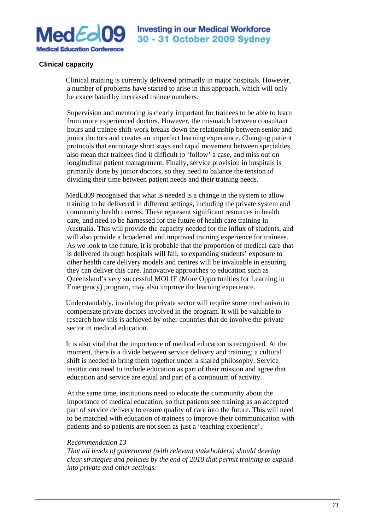

#### **Clinical capacity**

Clinical training is currently delivered primarily in major hospitals. However, a number of problems have started to arise in this approach, which will only be exacerbated by increased trainee numbers.

Supervision and mentoring is clearly important for trainees to be able to learn from more experienced doctors. However, the mismatch between consultant hours and trainee shift-work breaks down the relationship between senior and junior doctors and creates an imperfect learning experience. Changing patient protocols that encourage short stays and rapid movement between specialties also mean that trainees find it difficult to 'follow' a case, and miss out on longitudinal patient management. Finally, service provision in hospitals is primarily done by junior doctors, so they need to balance the tension of dividing their time between patient needs and their training needs.

MedEd09 recognised that what is needed is a change in the system to allow training to be delivered in different settings, including the private system and community health centres. These represent significant resources in health care, and need to be harnessed for the future of health care training in Australia. This will provide the capacity needed for the influx of students, and will also provide a broadened and improved training experience for trainees. As we look to the future, it is probable that the proportion of medical care that is delivered through hospitals will fall, so expanding students' exposure to other health care delivery models and centres will be invaluable in ensuring they can deliver this care. Innovative approaches to education such as Queensland's very successful MOLIE (More Opportunities for Learning in Emergency) program, may also improve the learning experience.

Understandably, involving the private sector will require some mechanism to compensate private doctors involved in the program. It will be valuable to research how this is achieved by other countries that do involve the private sector in medical education.

It is also vital that the importance of medical education is recognised. At the moment, there is a divide between service delivery and training; a cultural shift is needed to bring them together under a shared philosophy. Service institutions need to include education as part of their mission and agree that education and service are equal and part of a continuum of activity.

At the same time, institutions need to educate the community about the importance of medical education, so that patients see training as an accepted part of service delivery to ensure quality of care into the future. This will need to be matched with education of trainees to improve their communication with patients and so patients are not seen as just a 'teaching experience'.

#### *Recommendation 13*

*That all levels of government (with relevant stakeholders) should develop clear strategies and policies by the end of 2010 that permit training to expand into private and other settings.*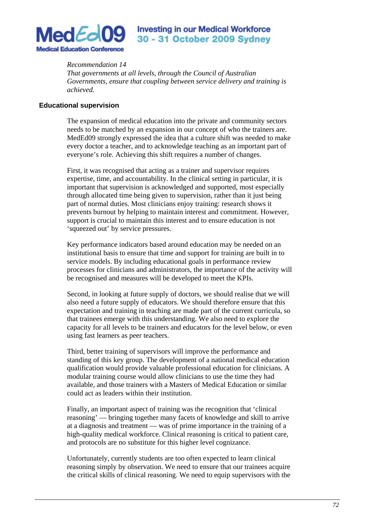

## *Recommendation 14*

*That governments at all levels, through the Council of Australian Governments, ensure that coupling between service delivery and training is achieved.*

#### **Educational supervision**

The expansion of medical education into the private and community sectors needs to be matched by an expansion in our concept of who the trainers are. MedEd09 strongly expressed the idea that a culture shift was needed to make every doctor a teacher, and to acknowledge teaching as an important part of everyone's role. Achieving this shift requires a number of changes.

First, it was recognised that acting as a trainer and supervisor requires expertise, time, and accountability. In the clinical setting in particular, it is important that supervision is acknowledged and supported, most especially through allocated time being given to supervision, rather than it just being part of normal duties. Most clinicians enjoy training: research shows it prevents burnout by helping to maintain interest and commitment. However, support is crucial to maintain this interest and to ensure education is not 'squeezed out' by service pressures.

Key performance indicators based around education may be needed on an institutional basis to ensure that time and support for training are built in to service models. By including educational goals in performance review processes for clinicians and administrators, the importance of the activity will be recognised and measures will be developed to meet the KPIs.

Second, in looking at future supply of doctors, we should realise that we will also need a future supply of educators. We should therefore ensure that this expectation and training in teaching are made part of the current curricula, so that trainees emerge with this understanding. We also need to explore the capacity for all levels to be trainers and educators for the level below, or even using fast learners as peer teachers.

Third, better training of supervisors will improve the performance and standing of this key group. The development of a national medical education qualification would provide valuable professional education for clinicians. A modular training course would allow clinicians to use the time they had available, and those trainers with a Masters of Medical Education or similar could act as leaders within their institution.

Finally, an important aspect of training was the recognition that 'clinical reasoning' — bringing together many facets of knowledge and skill to arrive at a diagnosis and treatment — was of prime importance in the training of a high-quality medical workforce. Clinical reasoning is critical to patient care, and protocols are no substitute for this higher level cognizance.

Unfortunately, currently students are too often expected to learn clinical reasoning simply by observation. We need to ensure that our trainees acquire the critical skills of clinical reasoning. We need to equip supervisors with the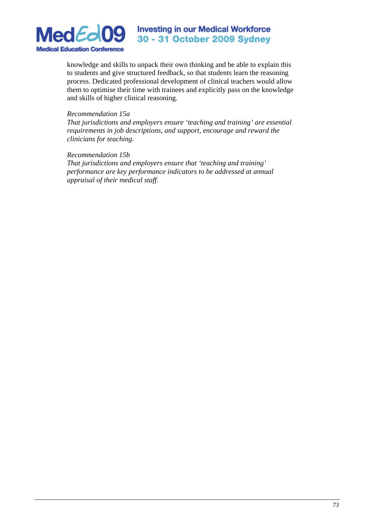

#### **Investing in our Medical Workforce** 30 - 31 October 2009 Sydney

knowledge and skills to unpack their own thinking and be able to explain this to students and give structured feedback, so that students learn the reasoning process. Dedicated professional development of clinical teachers would allow them to optimise their time with trainees and explicitly pass on the knowledge and skills of higher clinical reasoning.

#### *Recommendation 15a*

*That jurisdictions and employers ensure 'teaching and training' are essential requirements in job descriptions, and support, encourage and reward the clinicians for teaching.* 

#### *Recommendation 15b*

*That jurisdictions and employers ensure that 'teaching and training' performance are key performance indicators to be addressed at annual appraisal of their medical staff.*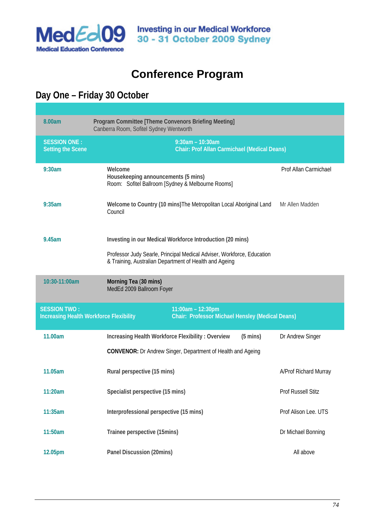

### **Conference Program**

### **Day One – Friday 30 October**

| 8.00am                                                                                                                                         | Program Committee [Theme Convenors Briefing Meeting]<br>Canberra Room, Sofitel Sydney Wentworth                                                                                               |                       |  |
|------------------------------------------------------------------------------------------------------------------------------------------------|-----------------------------------------------------------------------------------------------------------------------------------------------------------------------------------------------|-----------------------|--|
| <b>SESSION ONE:</b><br><b>Setting the Scene</b>                                                                                                | $9:30$ am - 10:30am<br><b>Chair: Prof Allan Carmichael (Medical Deans)</b>                                                                                                                    |                       |  |
| 9:30am                                                                                                                                         | Welcome<br>Housekeeping announcements (5 mins)<br>Room: Sofitel Ballroom [Sydney & Melbourne Rooms]                                                                                           | Prof Allan Carmichael |  |
| 9:35am                                                                                                                                         | Welcome to Country (10 mins) The Metropolitan Local Aboriginal Land<br>Council                                                                                                                | Mr Allen Madden       |  |
| 9.45am                                                                                                                                         | Investing in our Medical Workforce Introduction (20 mins)<br>Professor Judy Searle, Principal Medical Adviser, Workforce, Education<br>& Training, Australian Department of Health and Ageing |                       |  |
| 10:30-11:00am                                                                                                                                  | Morning Tea (30 mins)<br>MedEd 2009 Ballroom Foyer                                                                                                                                            |                       |  |
| <b>SESSION TWO:</b><br>11:00am - 12:30pm<br>Chair: Professor Michael Hensley (Medical Deans)<br><b>Increasing Health Workforce Flexibility</b> |                                                                                                                                                                                               |                       |  |
| 11.00am                                                                                                                                        | Increasing Health Workforce Flexibility: Overview<br>$(5 \text{ mins})$<br><b>CONVENOR:</b> Dr Andrew Singer, Department of Health and Ageing                                                 | Dr Andrew Singer      |  |
| 11.05am                                                                                                                                        | Rural perspective (15 mins)                                                                                                                                                                   | A/Prof Richard Murray |  |
| 11:20am                                                                                                                                        | Specialist perspective (15 mins)                                                                                                                                                              | Prof Russell Stitz    |  |
| 11:35am                                                                                                                                        | Interprofessional perspective (15 mins)                                                                                                                                                       | Prof Alison Lee. UTS  |  |
| 11:50am                                                                                                                                        | Trainee perspective (15mins)                                                                                                                                                                  | Dr Michael Bonning    |  |
|                                                                                                                                                |                                                                                                                                                                                               |                       |  |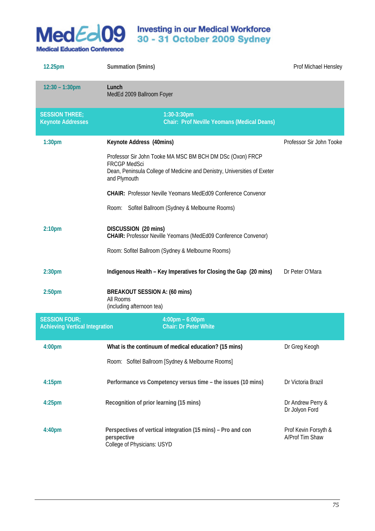

## **Investing in our Medical Workforce 30 - 31 October 2009 Sydney**

| 12.25pm                                                       | Summation (5mins)                                                                                                                                                            | Prof Michael Hensley                    |
|---------------------------------------------------------------|------------------------------------------------------------------------------------------------------------------------------------------------------------------------------|-----------------------------------------|
| $12:30 - 1:30$ pm                                             | Lunch<br>MedEd 2009 Ballroom Foyer                                                                                                                                           |                                         |
| <b>SESSION THREE:</b><br><b>Keynote Addresses</b>             | 1:30-3:30pm<br><b>Chair: Prof Neville Yeomans (Medical Deans)</b>                                                                                                            |                                         |
| 1:30 <sub>pm</sub>                                            | Keynote Address (40mins)                                                                                                                                                     | Professor Sir John Tooke                |
|                                                               | Professor Sir John Tooke MA MSC BM BCH DM DSc (Oxon) FRCP<br><b>FRCGP MedSci</b><br>Dean, Peninsula College of Medicine and Denistry, Universities of Exeter<br>and Plymouth |                                         |
|                                                               | <b>CHAIR: Professor Neville Yeomans MedEd09 Conference Convenor</b>                                                                                                          |                                         |
|                                                               | Room: Sofitel Ballroom (Sydney & Melbourne Rooms)                                                                                                                            |                                         |
| 2:10 <sub>pm</sub>                                            | DISCUSSION (20 mins)<br>CHAIR: Professor Neville Yeomans (MedEd09 Conference Convenor)                                                                                       |                                         |
|                                                               | Room: Sofitel Ballroom (Sydney & Melbourne Rooms)                                                                                                                            |                                         |
| 2:30 <sub>pm</sub>                                            | Indigenous Health - Key Imperatives for Closing the Gap (20 mins)                                                                                                            | Dr Peter O'Mara                         |
| 2:50 <sub>pm</sub>                                            | BREAKOUT SESSION A: (60 mins)<br>All Rooms                                                                                                                                   |                                         |
|                                                               | (including afternoon tea)                                                                                                                                                    |                                         |
| <b>SESSION FOUR:</b><br><b>Achieving Vertical Integration</b> | $4:00 \text{pm} - 6:00 \text{pm}$<br><b>Chair: Dr Peter White</b>                                                                                                            |                                         |
| 4:00pm                                                        | What is the continuum of medical education? (15 mins)                                                                                                                        | Dr Greg Keogh                           |
|                                                               | Room: Sofitel Ballroom [Sydney & Melbourne Rooms]                                                                                                                            |                                         |
| 4:15 <sub>pm</sub>                                            | Performance vs Competency versus time - the issues (10 mins)                                                                                                                 | Dr Victoria Brazil                      |
| $4:25$ pm                                                     | Recognition of prior learning (15 mins)                                                                                                                                      | Dr Andrew Perry &<br>Dr Jolyon Ford     |
| 4:40pm                                                        | Perspectives of vertical integration (15 mins) - Pro and con<br>perspective<br>College of Physicians: USYD                                                                   | Prof Kevin Forsyth &<br>A/Prof Tim Shaw |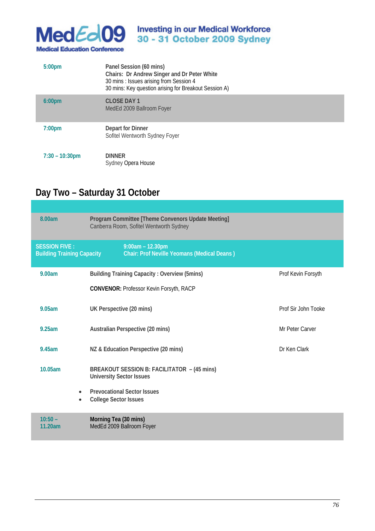

## Investing in our Medical Workforce<br>30 - 31 October 2009 Sydney

| 5:00 <sub>pm</sub>       | Panel Session (60 mins)<br>Chairs: Dr Andrew Singer and Dr Peter White<br>30 mins: Issues arising from Session 4<br>30 mins: Key question arising for Breakout Session A) |
|--------------------------|---------------------------------------------------------------------------------------------------------------------------------------------------------------------------|
| 6:00 <sub>pm</sub>       | <b>CLOSE DAY 1</b><br>MedEd 2009 Ballroom Foyer                                                                                                                           |
| 7:00 <sub>pm</sub>       | Depart for Dinner<br>Sofitel Wentworth Sydney Foyer                                                                                                                       |
| $7:30 - 10:30 \text{pm}$ | <b>DINNER</b><br>Sydney Opera House                                                                                                                                       |

### **Day Two – Saturday 31 October**

| 8.00am                                                    | Program Committee [Theme Convenors Update Meeting]<br>Canberra Room, Sofitel Wentworth Sydney |                     |
|-----------------------------------------------------------|-----------------------------------------------------------------------------------------------|---------------------|
| <b>SESSION FIVE:</b><br><b>Building Training Capacity</b> | $9:00am - 12.30pm$<br><b>Chair: Prof Neville Yeomans (Medical Deans)</b>                      |                     |
| 9.00am                                                    | <b>Building Training Capacity: Overview (5mins)</b>                                           | Prof Kevin Forsyth  |
|                                                           | <b>CONVENOR: Professor Kevin Forsyth, RACP</b>                                                |                     |
| 9.05am                                                    | UK Perspective (20 mins)                                                                      | Prof Sir John Tooke |
| 9.25am                                                    | Australian Perspective (20 mins)                                                              | Mr Peter Carver     |
| 9.45am                                                    | NZ & Education Perspective (20 mins)                                                          | Dr Ken Clark        |
| 10.05am                                                   | BREAKOUT SESSION B: FACILITATOR - (45 mins)<br><b>University Sector Issues</b>                |                     |
| $\bullet$<br>$\bullet$                                    | <b>Prevocational Sector Issues</b><br><b>College Sector Issues</b>                            |                     |
| $10:50 -$<br>11.20am                                      | Morning Tea (30 mins)<br>MedEd 2009 Ballroom Foyer                                            |                     |